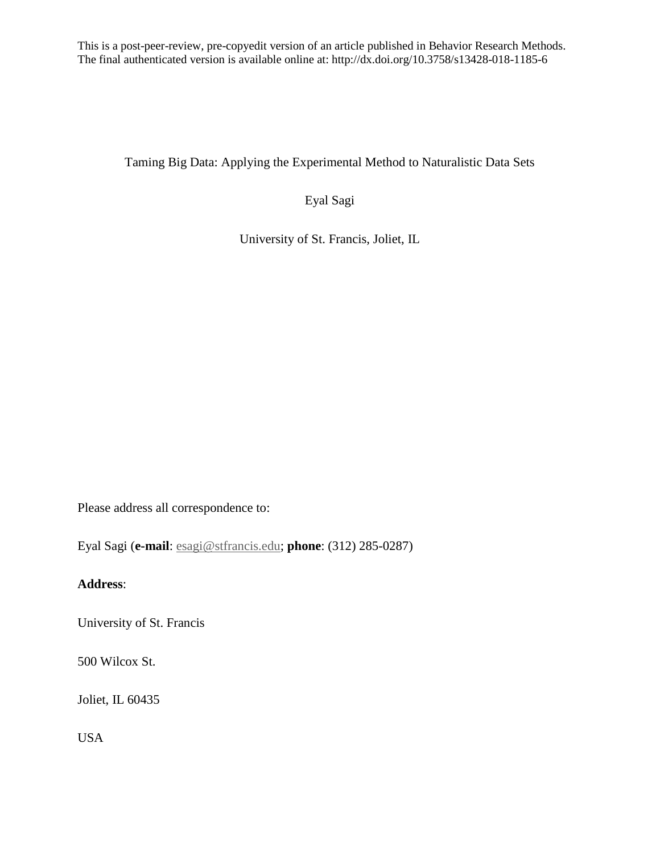This is a post-peer-review, pre-copyedit version of an article published in Behavior Research Methods. The final authenticated version is available online at: http://dx.doi.org/10.3758/s13428-018-1185-6

Taming Big Data: Applying the Experimental Method to Naturalistic Data Sets

Eyal Sagi

University of St. Francis, Joliet, IL

Please address all correspondence to:

Eyal Sagi (**e-mail**: [esagi@stfrancis.edu;](mailto:esagi@stfrancis.edu) **phone**: (312) 285-0287)

# **Address**:

University of St. Francis

500 Wilcox St.

Joliet, IL 60435

USA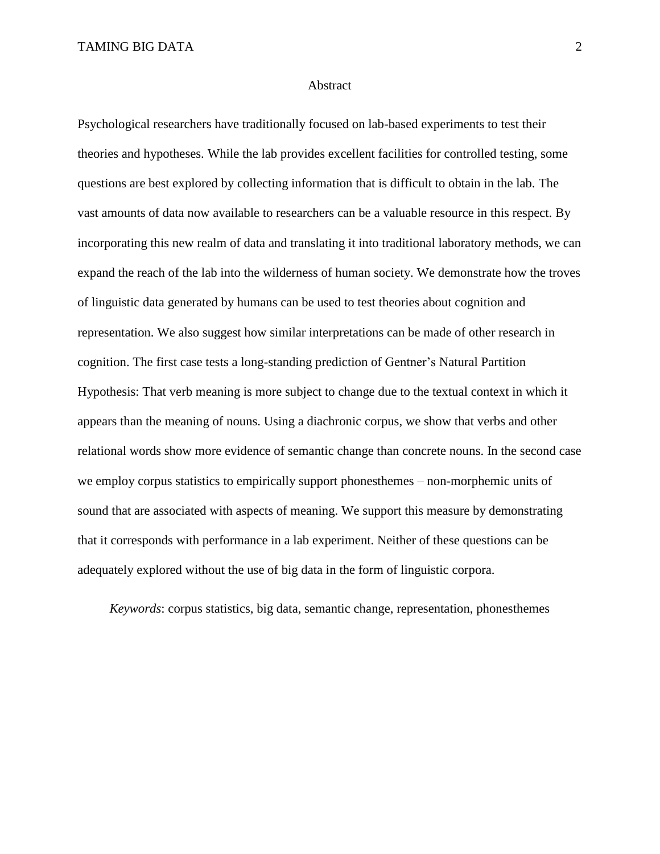#### Abstract

Psychological researchers have traditionally focused on lab-based experiments to test their theories and hypotheses. While the lab provides excellent facilities for controlled testing, some questions are best explored by collecting information that is difficult to obtain in the lab. The vast amounts of data now available to researchers can be a valuable resource in this respect. By incorporating this new realm of data and translating it into traditional laboratory methods, we can expand the reach of the lab into the wilderness of human society. We demonstrate how the troves of linguistic data generated by humans can be used to test theories about cognition and representation. We also suggest how similar interpretations can be made of other research in cognition. The first case tests a long-standing prediction of Gentner's Natural Partition Hypothesis: That verb meaning is more subject to change due to the textual context in which it appears than the meaning of nouns. Using a diachronic corpus, we show that verbs and other relational words show more evidence of semantic change than concrete nouns. In the second case we employ corpus statistics to empirically support phonesthemes – non-morphemic units of sound that are associated with aspects of meaning. We support this measure by demonstrating that it corresponds with performance in a lab experiment. Neither of these questions can be adequately explored without the use of big data in the form of linguistic corpora.

*Keywords*: corpus statistics, big data, semantic change, representation, phonesthemes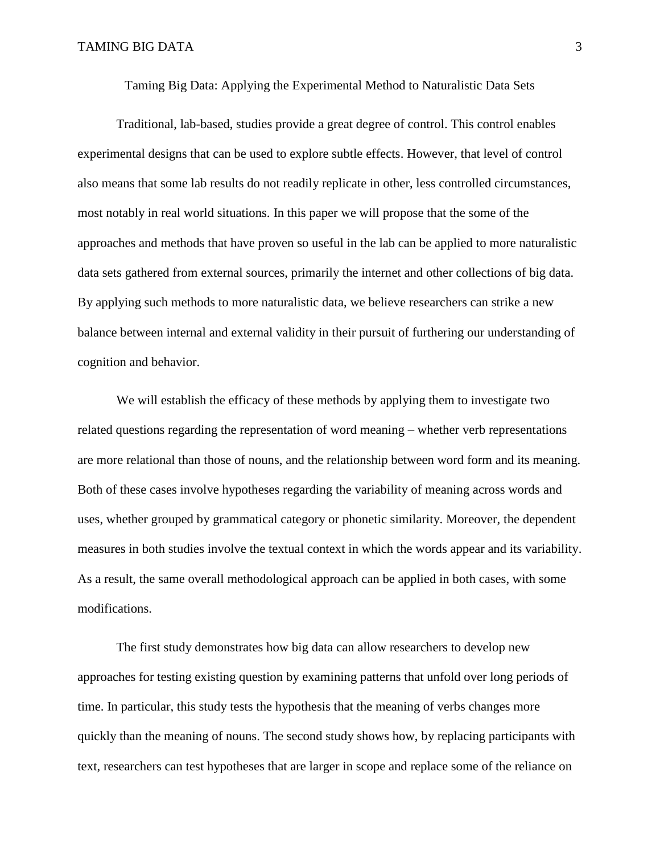Taming Big Data: Applying the Experimental Method to Naturalistic Data Sets

Traditional, lab-based, studies provide a great degree of control. This control enables experimental designs that can be used to explore subtle effects. However, that level of control also means that some lab results do not readily replicate in other, less controlled circumstances, most notably in real world situations. In this paper we will propose that the some of the approaches and methods that have proven so useful in the lab can be applied to more naturalistic data sets gathered from external sources, primarily the internet and other collections of big data. By applying such methods to more naturalistic data, we believe researchers can strike a new balance between internal and external validity in their pursuit of furthering our understanding of cognition and behavior.

We will establish the efficacy of these methods by applying them to investigate two related questions regarding the representation of word meaning – whether verb representations are more relational than those of nouns, and the relationship between word form and its meaning. Both of these cases involve hypotheses regarding the variability of meaning across words and uses, whether grouped by grammatical category or phonetic similarity. Moreover, the dependent measures in both studies involve the textual context in which the words appear and its variability. As a result, the same overall methodological approach can be applied in both cases, with some modifications.

The first study demonstrates how big data can allow researchers to develop new approaches for testing existing question by examining patterns that unfold over long periods of time. In particular, this study tests the hypothesis that the meaning of verbs changes more quickly than the meaning of nouns. The second study shows how, by replacing participants with text, researchers can test hypotheses that are larger in scope and replace some of the reliance on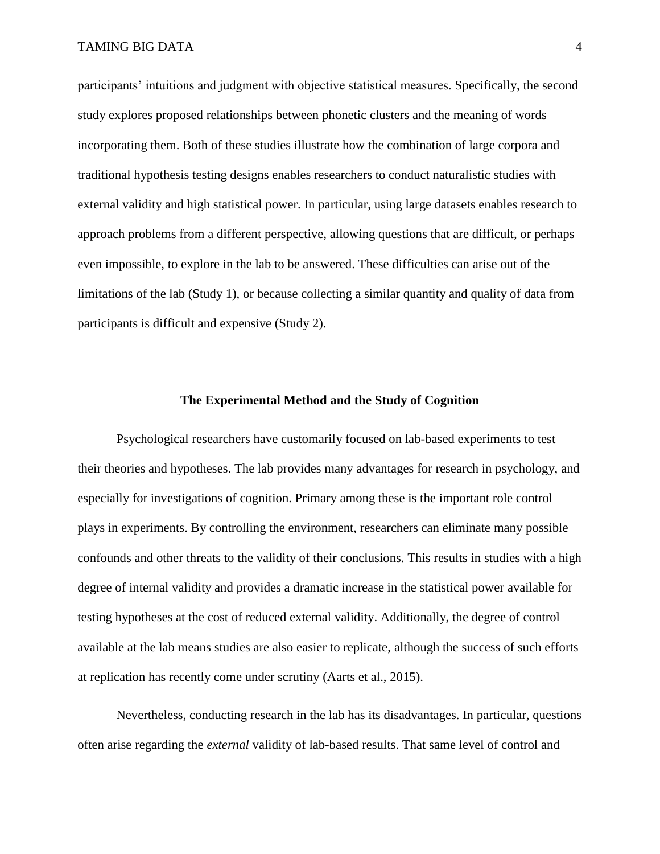participants' intuitions and judgment with objective statistical measures. Specifically, the second study explores proposed relationships between phonetic clusters and the meaning of words incorporating them. Both of these studies illustrate how the combination of large corpora and traditional hypothesis testing designs enables researchers to conduct naturalistic studies with external validity and high statistical power. In particular, using large datasets enables research to approach problems from a different perspective, allowing questions that are difficult, or perhaps even impossible, to explore in the lab to be answered. These difficulties can arise out of the limitations of the lab (Study 1), or because collecting a similar quantity and quality of data from participants is difficult and expensive (Study 2).

### **The Experimental Method and the Study of Cognition**

Psychological researchers have customarily focused on lab-based experiments to test their theories and hypotheses. The lab provides many advantages for research in psychology, and especially for investigations of cognition. Primary among these is the important role control plays in experiments. By controlling the environment, researchers can eliminate many possible confounds and other threats to the validity of their conclusions. This results in studies with a high degree of internal validity and provides a dramatic increase in the statistical power available for testing hypotheses at the cost of reduced external validity. Additionally, the degree of control available at the lab means studies are also easier to replicate, although the success of such efforts at replication has recently come under scrutiny (Aarts et al., 2015).

Nevertheless, conducting research in the lab has its disadvantages. In particular, questions often arise regarding the *external* validity of lab-based results. That same level of control and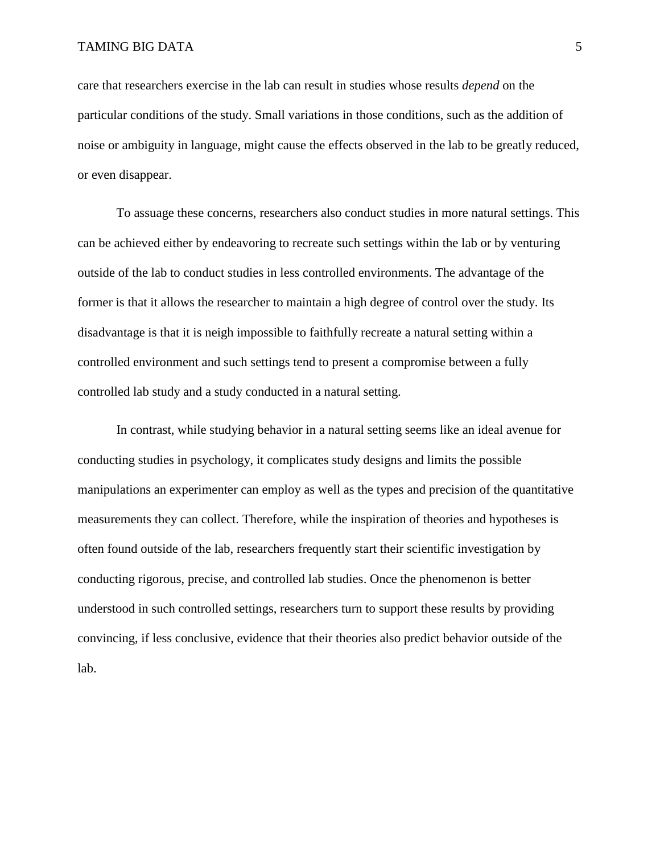care that researchers exercise in the lab can result in studies whose results *depend* on the particular conditions of the study. Small variations in those conditions, such as the addition of noise or ambiguity in language, might cause the effects observed in the lab to be greatly reduced, or even disappear.

To assuage these concerns, researchers also conduct studies in more natural settings. This can be achieved either by endeavoring to recreate such settings within the lab or by venturing outside of the lab to conduct studies in less controlled environments. The advantage of the former is that it allows the researcher to maintain a high degree of control over the study. Its disadvantage is that it is neigh impossible to faithfully recreate a natural setting within a controlled environment and such settings tend to present a compromise between a fully controlled lab study and a study conducted in a natural setting.

In contrast, while studying behavior in a natural setting seems like an ideal avenue for conducting studies in psychology, it complicates study designs and limits the possible manipulations an experimenter can employ as well as the types and precision of the quantitative measurements they can collect. Therefore, while the inspiration of theories and hypotheses is often found outside of the lab, researchers frequently start their scientific investigation by conducting rigorous, precise, and controlled lab studies. Once the phenomenon is better understood in such controlled settings, researchers turn to support these results by providing convincing, if less conclusive, evidence that their theories also predict behavior outside of the lab.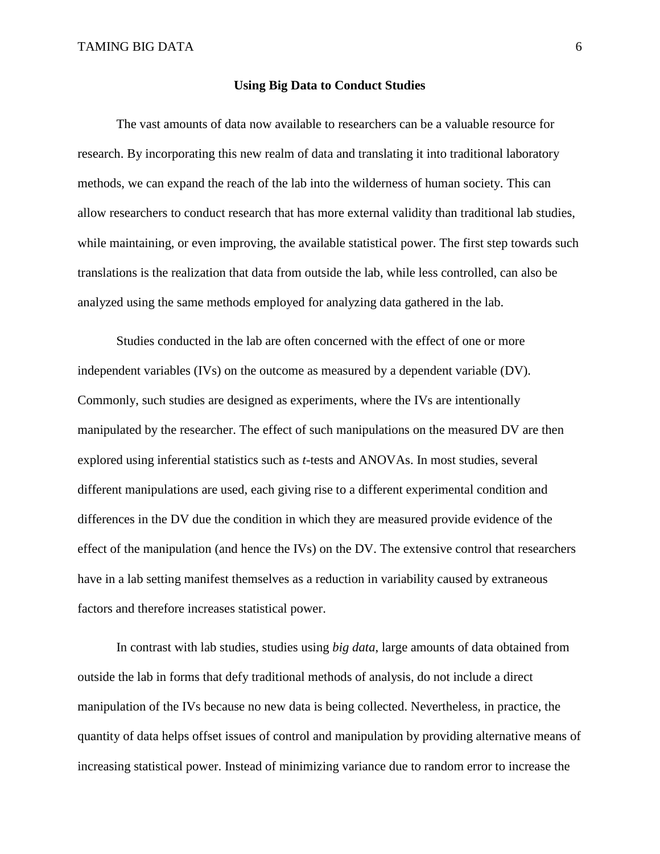#### **Using Big Data to Conduct Studies**

The vast amounts of data now available to researchers can be a valuable resource for research. By incorporating this new realm of data and translating it into traditional laboratory methods, we can expand the reach of the lab into the wilderness of human society. This can allow researchers to conduct research that has more external validity than traditional lab studies, while maintaining, or even improving, the available statistical power. The first step towards such translations is the realization that data from outside the lab, while less controlled, can also be analyzed using the same methods employed for analyzing data gathered in the lab.

Studies conducted in the lab are often concerned with the effect of one or more independent variables (IVs) on the outcome as measured by a dependent variable (DV). Commonly, such studies are designed as experiments, where the IVs are intentionally manipulated by the researcher. The effect of such manipulations on the measured DV are then explored using inferential statistics such as *t*-tests and ANOVAs. In most studies, several different manipulations are used, each giving rise to a different experimental condition and differences in the DV due the condition in which they are measured provide evidence of the effect of the manipulation (and hence the IVs) on the DV. The extensive control that researchers have in a lab setting manifest themselves as a reduction in variability caused by extraneous factors and therefore increases statistical power.

In contrast with lab studies, studies using *big data*, large amounts of data obtained from outside the lab in forms that defy traditional methods of analysis, do not include a direct manipulation of the IVs because no new data is being collected. Nevertheless, in practice, the quantity of data helps offset issues of control and manipulation by providing alternative means of increasing statistical power. Instead of minimizing variance due to random error to increase the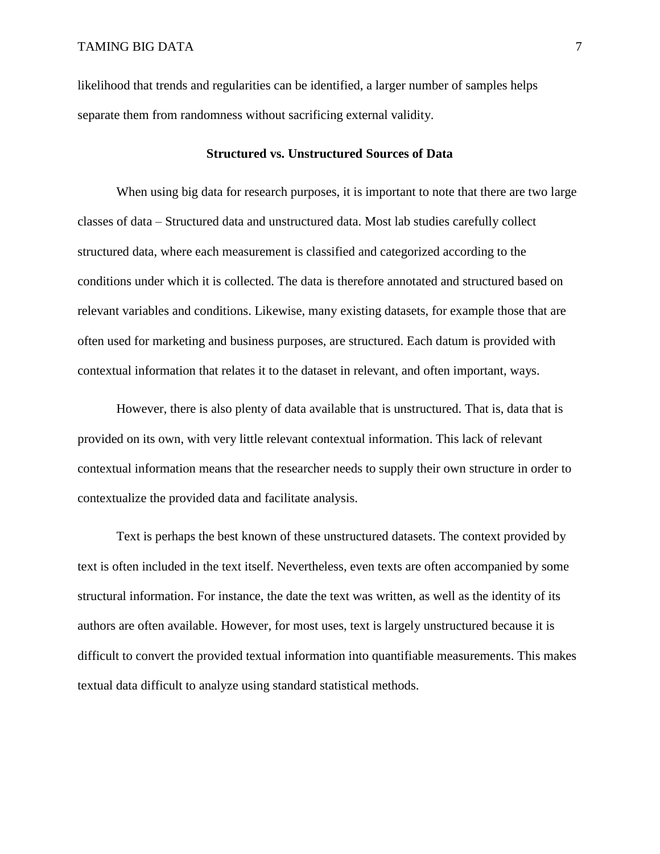likelihood that trends and regularities can be identified, a larger number of samples helps separate them from randomness without sacrificing external validity.

#### **Structured vs. Unstructured Sources of Data**

When using big data for research purposes, it is important to note that there are two large classes of data – Structured data and unstructured data. Most lab studies carefully collect structured data, where each measurement is classified and categorized according to the conditions under which it is collected. The data is therefore annotated and structured based on relevant variables and conditions. Likewise, many existing datasets, for example those that are often used for marketing and business purposes, are structured. Each datum is provided with contextual information that relates it to the dataset in relevant, and often important, ways.

However, there is also plenty of data available that is unstructured. That is, data that is provided on its own, with very little relevant contextual information. This lack of relevant contextual information means that the researcher needs to supply their own structure in order to contextualize the provided data and facilitate analysis.

Text is perhaps the best known of these unstructured datasets. The context provided by text is often included in the text itself. Nevertheless, even texts are often accompanied by some structural information. For instance, the date the text was written, as well as the identity of its authors are often available. However, for most uses, text is largely unstructured because it is difficult to convert the provided textual information into quantifiable measurements. This makes textual data difficult to analyze using standard statistical methods.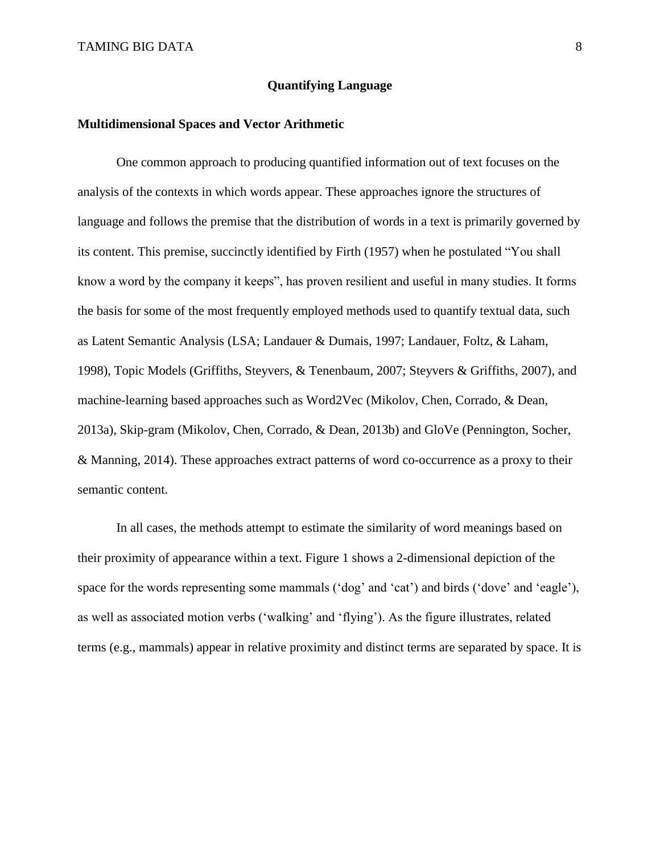### **Quantifying Language**

#### **Multidimensional Spaces and Vector Arithmetic**

One common approach to producing quantified information out of text focuses on the analysis of the contexts in which words appear. These approaches ignore the structures of language and follows the premise that the distribution of words in a text is primarily governed by its content. This premise, succinctly identified by Firth (1957) when he postulated "You shall know a word by the company it keeps", has proven resilient and useful in many studies. It forms the basis for some of the most frequently employed methods used to quantify textual data, such as Latent Semantic Analysis (LSA; Landauer & Dumais, 1997; Landauer, Foltz, & Laham, 1998), Topic Models (Griffiths, Steyvers, & Tenenbaum, 2007; Steyvers & Griffiths, 2007), and machine-learning based approaches such as Word2Vec (Mikolov, Chen, Corrado, & Dean, 2013a), Skip-gram (Mikolov, Chen, Corrado, & Dean, 2013b) and GloVe (Pennington, Socher, & Manning, 2014). These approaches extract patterns of word co-occurrence as a proxy to their semantic content.

In all cases, the methods attempt to estimate the similarity of word meanings based on their proximity of appearance within a text. [Figure 1](#page-8-0) shows a 2-dimensional depiction of the space for the words representing some mammals ('dog' and 'cat') and birds ('dove' and 'eagle'), as well as associated motion verbs ('walking' and 'flying'). As the figure illustrates, related terms (e.g., mammals) appear in relative proximity and distinct terms are separated by space. It is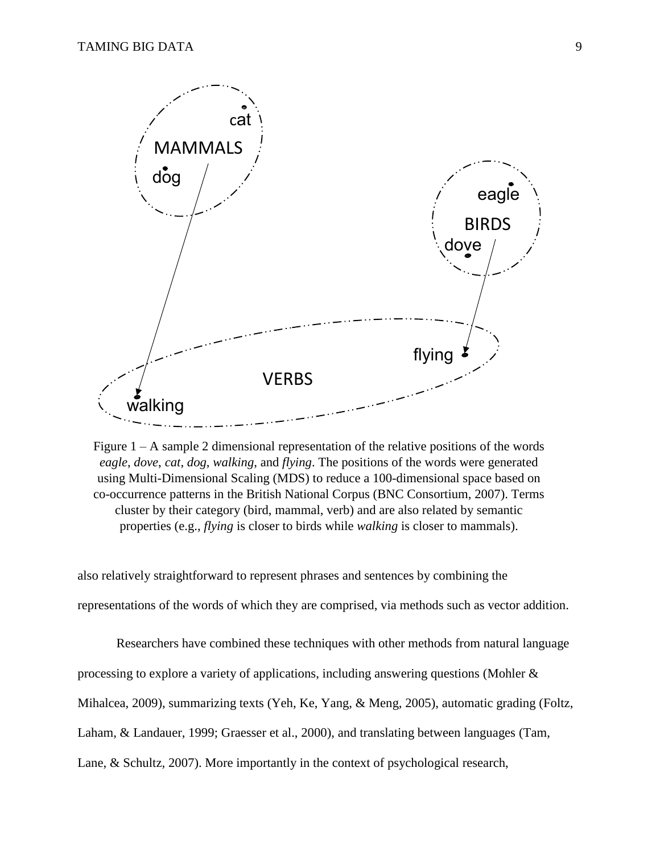

<span id="page-8-0"></span>Figure  $1 - A$  sample 2 dimensional representation of the relative positions of the words *eagle*, *dove*, *cat*, *dog*, *walking*, and *flying*. The positions of the words were generated using Multi-Dimensional Scaling (MDS) to reduce a 100-dimensional space based on co-occurrence patterns in the British National Corpus (BNC Consortium, 2007). Terms cluster by their category (bird, mammal, verb) and are also related by semantic properties (e.g., *flying* is closer to birds while *walking* is closer to mammals).

also relatively straightforward to represent phrases and sentences by combining the representations of the words of which they are comprised, via methods such as vector addition.

Researchers have combined these techniques with other methods from natural language processing to explore a variety of applications, including answering questions (Mohler & Mihalcea, 2009), summarizing texts (Yeh, Ke, Yang, & Meng, 2005), automatic grading (Foltz, Laham, & Landauer, 1999; Graesser et al., 2000), and translating between languages (Tam, Lane, & Schultz, 2007). More importantly in the context of psychological research,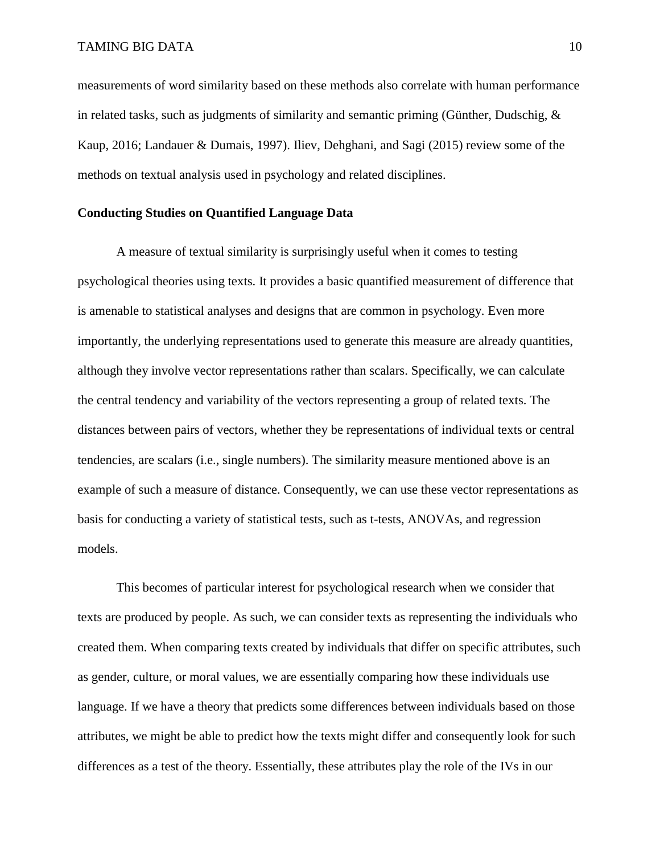measurements of word similarity based on these methods also correlate with human performance in related tasks, such as judgments of similarity and semantic priming (Günther, Dudschig, & Kaup, 2016; Landauer & Dumais, 1997). Iliev, Dehghani, and Sagi (2015) review some of the methods on textual analysis used in psychology and related disciplines.

### **Conducting Studies on Quantified Language Data**

A measure of textual similarity is surprisingly useful when it comes to testing psychological theories using texts. It provides a basic quantified measurement of difference that is amenable to statistical analyses and designs that are common in psychology. Even more importantly, the underlying representations used to generate this measure are already quantities, although they involve vector representations rather than scalars. Specifically, we can calculate the central tendency and variability of the vectors representing a group of related texts. The distances between pairs of vectors, whether they be representations of individual texts or central tendencies, are scalars (i.e., single numbers). The similarity measure mentioned above is an example of such a measure of distance. Consequently, we can use these vector representations as basis for conducting a variety of statistical tests, such as t-tests, ANOVAs, and regression models.

This becomes of particular interest for psychological research when we consider that texts are produced by people. As such, we can consider texts as representing the individuals who created them. When comparing texts created by individuals that differ on specific attributes, such as gender, culture, or moral values, we are essentially comparing how these individuals use language. If we have a theory that predicts some differences between individuals based on those attributes, we might be able to predict how the texts might differ and consequently look for such differences as a test of the theory. Essentially, these attributes play the role of the IVs in our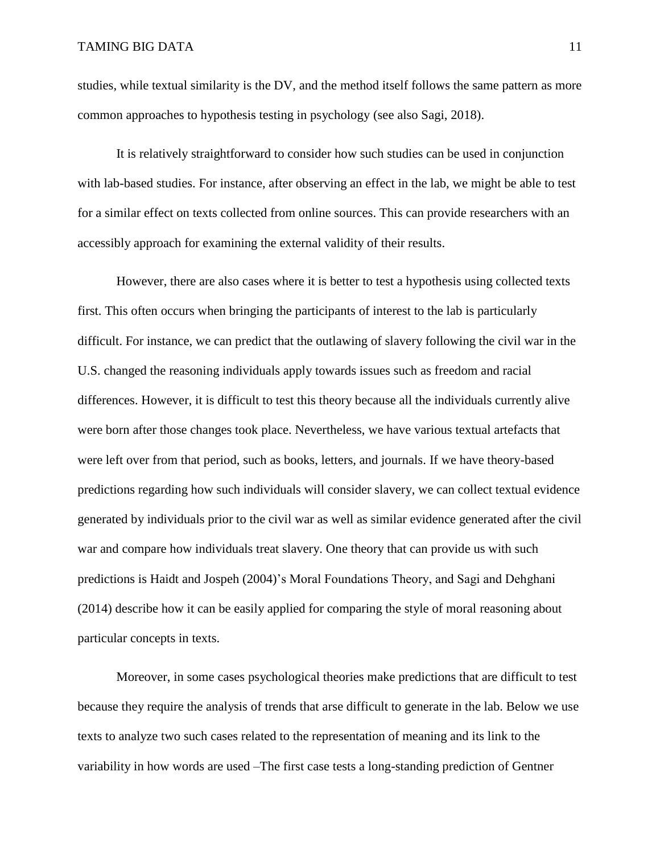studies, while textual similarity is the DV, and the method itself follows the same pattern as more common approaches to hypothesis testing in psychology (see also Sagi, 2018).

It is relatively straightforward to consider how such studies can be used in conjunction with lab-based studies. For instance, after observing an effect in the lab, we might be able to test for a similar effect on texts collected from online sources. This can provide researchers with an accessibly approach for examining the external validity of their results.

However, there are also cases where it is better to test a hypothesis using collected texts first. This often occurs when bringing the participants of interest to the lab is particularly difficult. For instance, we can predict that the outlawing of slavery following the civil war in the U.S. changed the reasoning individuals apply towards issues such as freedom and racial differences. However, it is difficult to test this theory because all the individuals currently alive were born after those changes took place. Nevertheless, we have various textual artefacts that were left over from that period, such as books, letters, and journals. If we have theory-based predictions regarding how such individuals will consider slavery, we can collect textual evidence generated by individuals prior to the civil war as well as similar evidence generated after the civil war and compare how individuals treat slavery. One theory that can provide us with such predictions is Haidt and Jospeh (2004)'s Moral Foundations Theory, and Sagi and Dehghani (2014) describe how it can be easily applied for comparing the style of moral reasoning about particular concepts in texts.

Moreover, in some cases psychological theories make predictions that are difficult to test because they require the analysis of trends that arse difficult to generate in the lab. Below we use texts to analyze two such cases related to the representation of meaning and its link to the variability in how words are used –The first case tests a long-standing prediction of Gentner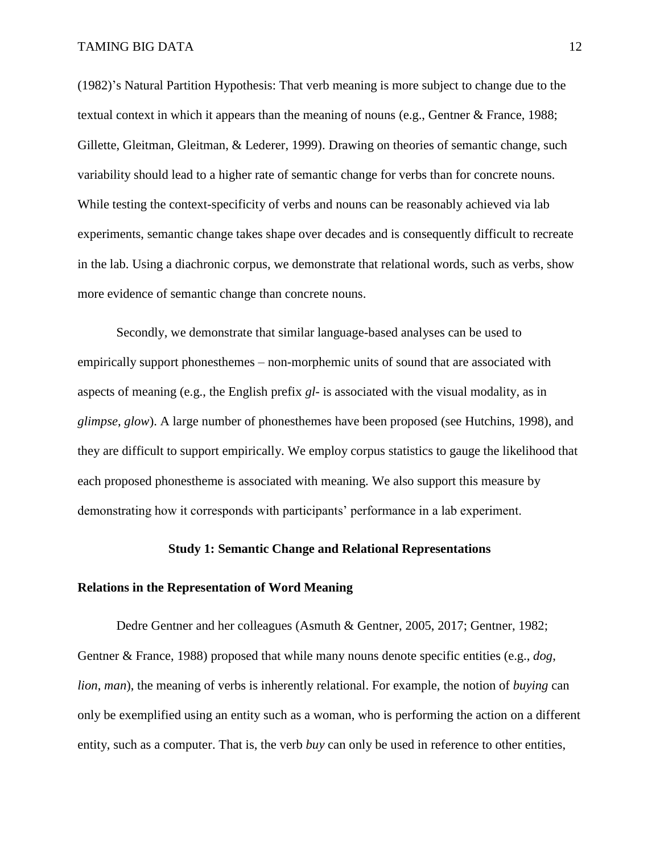(1982)'s Natural Partition Hypothesis: That verb meaning is more subject to change due to the textual context in which it appears than the meaning of nouns (e.g., Gentner & France, 1988; Gillette, Gleitman, Gleitman, & Lederer, 1999). Drawing on theories of semantic change, such variability should lead to a higher rate of semantic change for verbs than for concrete nouns. While testing the context-specificity of verbs and nouns can be reasonably achieved via lab experiments, semantic change takes shape over decades and is consequently difficult to recreate in the lab. Using a diachronic corpus, we demonstrate that relational words, such as verbs, show more evidence of semantic change than concrete nouns.

Secondly, we demonstrate that similar language-based analyses can be used to empirically support phonesthemes – non-morphemic units of sound that are associated with aspects of meaning (e.g., the English prefix *gl-* is associated with the visual modality, as in *glimpse*, *glow*). A large number of phonesthemes have been proposed (see Hutchins, 1998), and they are difficult to support empirically. We employ corpus statistics to gauge the likelihood that each proposed phonestheme is associated with meaning. We also support this measure by demonstrating how it corresponds with participants' performance in a lab experiment.

### **Study 1: Semantic Change and Relational Representations**

### **Relations in the Representation of Word Meaning**

Dedre Gentner and her colleagues (Asmuth & Gentner, 2005, 2017; Gentner, 1982; Gentner & France, 1988) proposed that while many nouns denote specific entities (e.g., *dog*, *lion*, *man*), the meaning of verbs is inherently relational. For example, the notion of *buying* can only be exemplified using an entity such as a woman, who is performing the action on a different entity, such as a computer. That is, the verb *buy* can only be used in reference to other entities,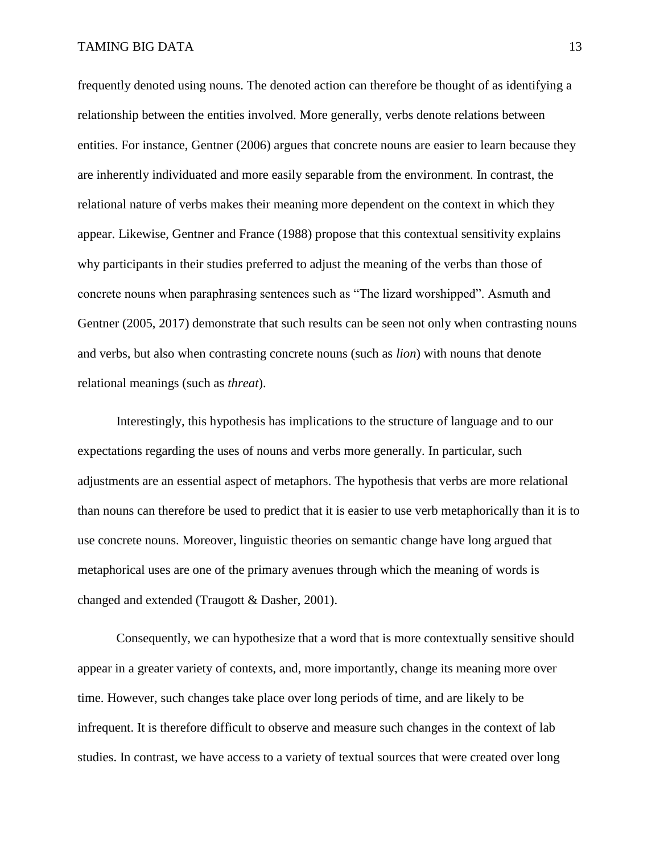frequently denoted using nouns. The denoted action can therefore be thought of as identifying a relationship between the entities involved. More generally, verbs denote relations between entities. For instance, Gentner (2006) argues that concrete nouns are easier to learn because they are inherently individuated and more easily separable from the environment. In contrast, the relational nature of verbs makes their meaning more dependent on the context in which they appear. Likewise, Gentner and France (1988) propose that this contextual sensitivity explains why participants in their studies preferred to adjust the meaning of the verbs than those of concrete nouns when paraphrasing sentences such as "The lizard worshipped". Asmuth and Gentner (2005, 2017) demonstrate that such results can be seen not only when contrasting nouns and verbs, but also when contrasting concrete nouns (such as *lion*) with nouns that denote relational meanings (such as *threat*).

Interestingly, this hypothesis has implications to the structure of language and to our expectations regarding the uses of nouns and verbs more generally. In particular, such adjustments are an essential aspect of metaphors. The hypothesis that verbs are more relational than nouns can therefore be used to predict that it is easier to use verb metaphorically than it is to use concrete nouns. Moreover, linguistic theories on semantic change have long argued that metaphorical uses are one of the primary avenues through which the meaning of words is changed and extended (Traugott & Dasher, 2001).

Consequently, we can hypothesize that a word that is more contextually sensitive should appear in a greater variety of contexts, and, more importantly, change its meaning more over time. However, such changes take place over long periods of time, and are likely to be infrequent. It is therefore difficult to observe and measure such changes in the context of lab studies. In contrast, we have access to a variety of textual sources that were created over long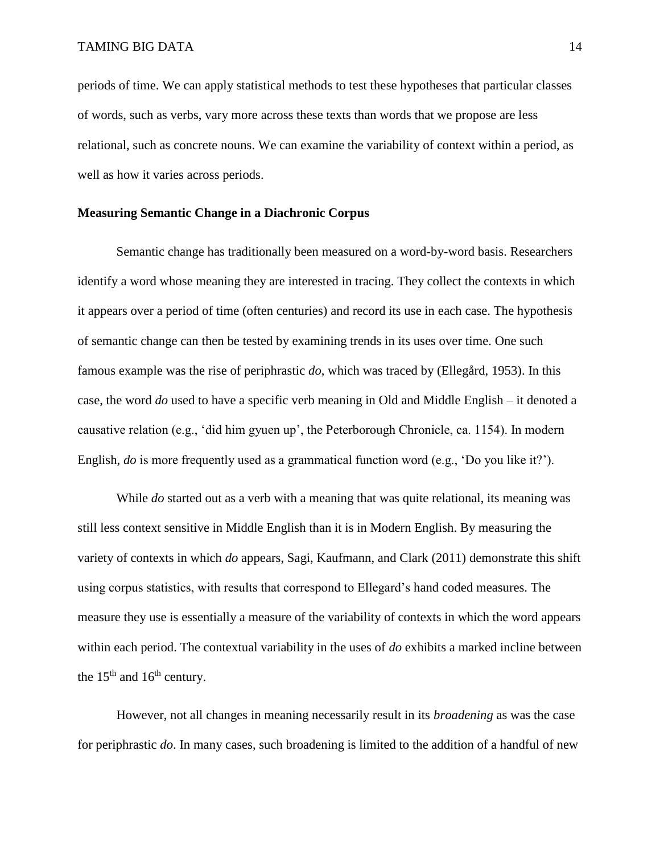periods of time. We can apply statistical methods to test these hypotheses that particular classes of words, such as verbs, vary more across these texts than words that we propose are less relational, such as concrete nouns. We can examine the variability of context within a period, as well as how it varies across periods.

### **Measuring Semantic Change in a Diachronic Corpus**

Semantic change has traditionally been measured on a word-by-word basis. Researchers identify a word whose meaning they are interested in tracing. They collect the contexts in which it appears over a period of time (often centuries) and record its use in each case. The hypothesis of semantic change can then be tested by examining trends in its uses over time. One such famous example was the rise of periphrastic *do*, which was traced by (Ellegård, 1953). In this case, the word *do* used to have a specific verb meaning in Old and Middle English – it denoted a causative relation (e.g., 'did him gyuen up', the Peterborough Chronicle, ca. 1154). In modern English, *do* is more frequently used as a grammatical function word (e.g., 'Do you like it?').

While *do* started out as a verb with a meaning that was quite relational, its meaning was still less context sensitive in Middle English than it is in Modern English. By measuring the variety of contexts in which *do* appears, Sagi, Kaufmann, and Clark (2011) demonstrate this shift using corpus statistics, with results that correspond to Ellegard's hand coded measures. The measure they use is essentially a measure of the variability of contexts in which the word appears within each period. The contextual variability in the uses of *do* exhibits a marked incline between the  $15<sup>th</sup>$  and  $16<sup>th</sup>$  century.

However, not all changes in meaning necessarily result in its *broadening* as was the case for periphrastic *do*. In many cases, such broadening is limited to the addition of a handful of new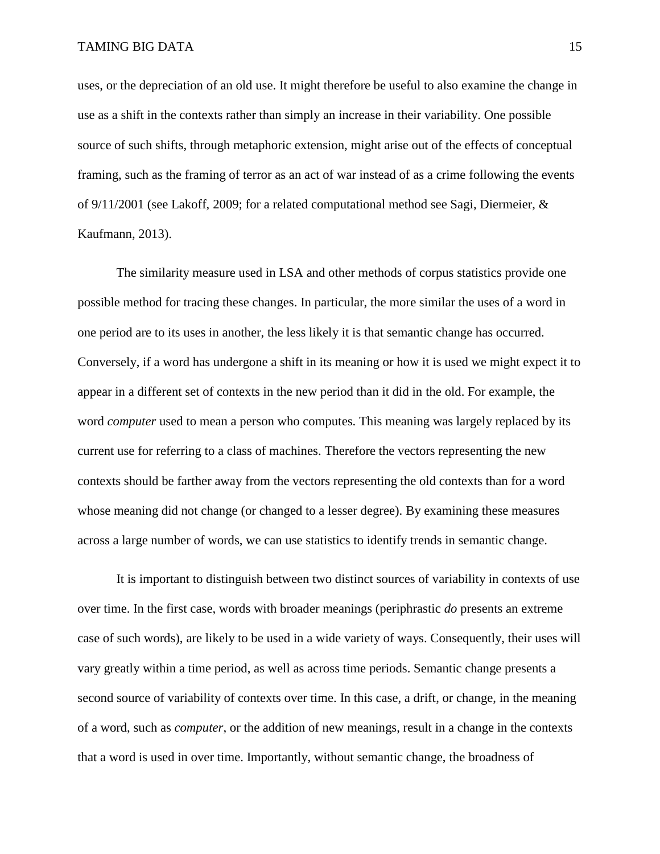uses, or the depreciation of an old use. It might therefore be useful to also examine the change in use as a shift in the contexts rather than simply an increase in their variability. One possible source of such shifts, through metaphoric extension, might arise out of the effects of conceptual framing, such as the framing of terror as an act of war instead of as a crime following the events of 9/11/2001 (see Lakoff, 2009; for a related computational method see Sagi, Diermeier, & Kaufmann, 2013).

The similarity measure used in LSA and other methods of corpus statistics provide one possible method for tracing these changes. In particular, the more similar the uses of a word in one period are to its uses in another, the less likely it is that semantic change has occurred. Conversely, if a word has undergone a shift in its meaning or how it is used we might expect it to appear in a different set of contexts in the new period than it did in the old. For example, the word *computer* used to mean a person who computes. This meaning was largely replaced by its current use for referring to a class of machines. Therefore the vectors representing the new contexts should be farther away from the vectors representing the old contexts than for a word whose meaning did not change (or changed to a lesser degree). By examining these measures across a large number of words, we can use statistics to identify trends in semantic change.

It is important to distinguish between two distinct sources of variability in contexts of use over time. In the first case, words with broader meanings (periphrastic *do* presents an extreme case of such words), are likely to be used in a wide variety of ways. Consequently, their uses will vary greatly within a time period, as well as across time periods. Semantic change presents a second source of variability of contexts over time. In this case, a drift, or change, in the meaning of a word, such as *computer*, or the addition of new meanings, result in a change in the contexts that a word is used in over time. Importantly, without semantic change, the broadness of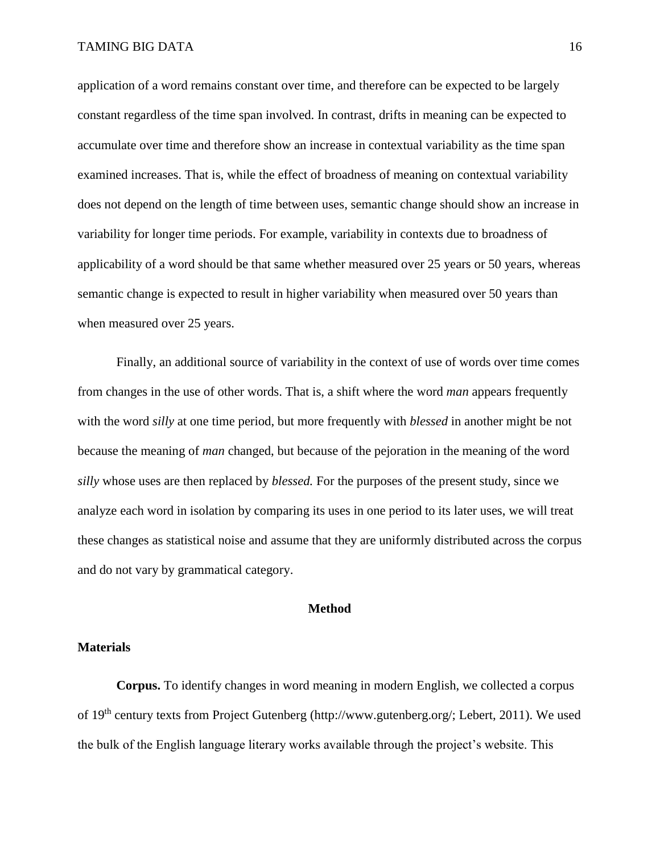application of a word remains constant over time, and therefore can be expected to be largely constant regardless of the time span involved. In contrast, drifts in meaning can be expected to accumulate over time and therefore show an increase in contextual variability as the time span examined increases. That is, while the effect of broadness of meaning on contextual variability does not depend on the length of time between uses, semantic change should show an increase in variability for longer time periods. For example, variability in contexts due to broadness of applicability of a word should be that same whether measured over 25 years or 50 years, whereas semantic change is expected to result in higher variability when measured over 50 years than when measured over 25 years.

Finally, an additional source of variability in the context of use of words over time comes from changes in the use of other words. That is, a shift where the word *man* appears frequently with the word *silly* at one time period, but more frequently with *blessed* in another might be not because the meaning of *man* changed, but because of the pejoration in the meaning of the word *silly* whose uses are then replaced by *blessed.* For the purposes of the present study, since we analyze each word in isolation by comparing its uses in one period to its later uses, we will treat these changes as statistical noise and assume that they are uniformly distributed across the corpus and do not vary by grammatical category.

### **Method**

### **Materials**

**Corpus.** To identify changes in word meaning in modern English, we collected a corpus of 19th century texts from Project Gutenberg (http://www.gutenberg.org/; Lebert, 2011). We used the bulk of the English language literary works available through the project's website. This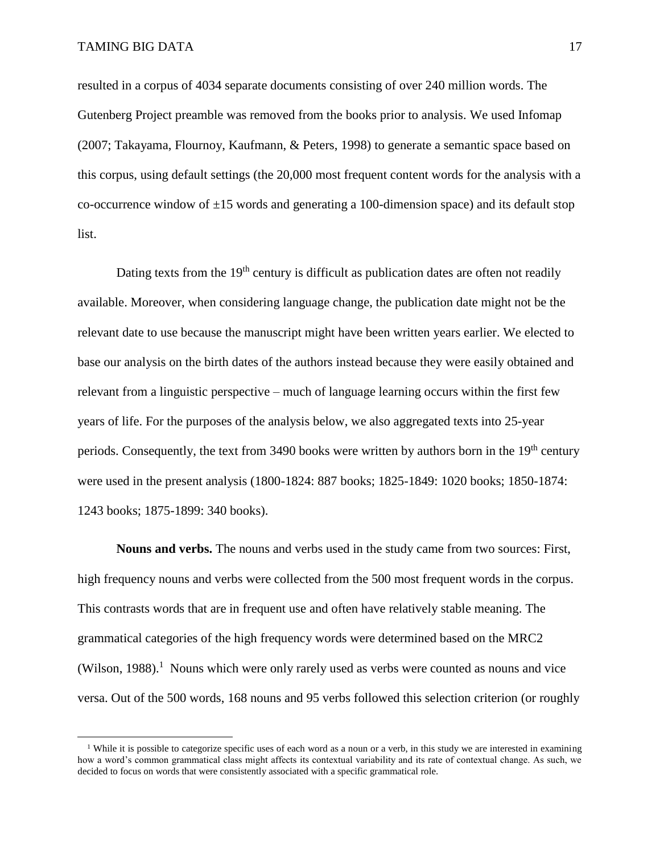$\overline{\phantom{a}}$ 

resulted in a corpus of 4034 separate documents consisting of over 240 million words. The Gutenberg Project preamble was removed from the books prior to analysis. We used Infomap (2007; Takayama, Flournoy, Kaufmann, & Peters, 1998) to generate a semantic space based on this corpus, using default settings (the 20,000 most frequent content words for the analysis with a co-occurrence window of  $\pm 15$  words and generating a 100-dimension space) and its default stop list.

Dating texts from the  $19<sup>th</sup>$  century is difficult as publication dates are often not readily available. Moreover, when considering language change, the publication date might not be the relevant date to use because the manuscript might have been written years earlier. We elected to base our analysis on the birth dates of the authors instead because they were easily obtained and relevant from a linguistic perspective – much of language learning occurs within the first few years of life. For the purposes of the analysis below, we also aggregated texts into 25-year periods. Consequently, the text from 3490 books were written by authors born in the 19<sup>th</sup> century were used in the present analysis (1800-1824: 887 books; 1825-1849: 1020 books; 1850-1874: 1243 books; 1875-1899: 340 books).

**Nouns and verbs.** The nouns and verbs used in the study came from two sources: First, high frequency nouns and verbs were collected from the 500 most frequent words in the corpus. This contrasts words that are in frequent use and often have relatively stable meaning. The grammatical categories of the high frequency words were determined based on the MRC2 (Wilson, 1988).<sup>1</sup> Nouns which were only rarely used as verbs were counted as nouns and vice versa. Out of the 500 words, 168 nouns and 95 verbs followed this selection criterion (or roughly

<sup>&</sup>lt;sup>1</sup> While it is possible to categorize specific uses of each word as a noun or a verb, in this study we are interested in examining how a word's common grammatical class might affects its contextual variability and its rate of contextual change. As such, we decided to focus on words that were consistently associated with a specific grammatical role.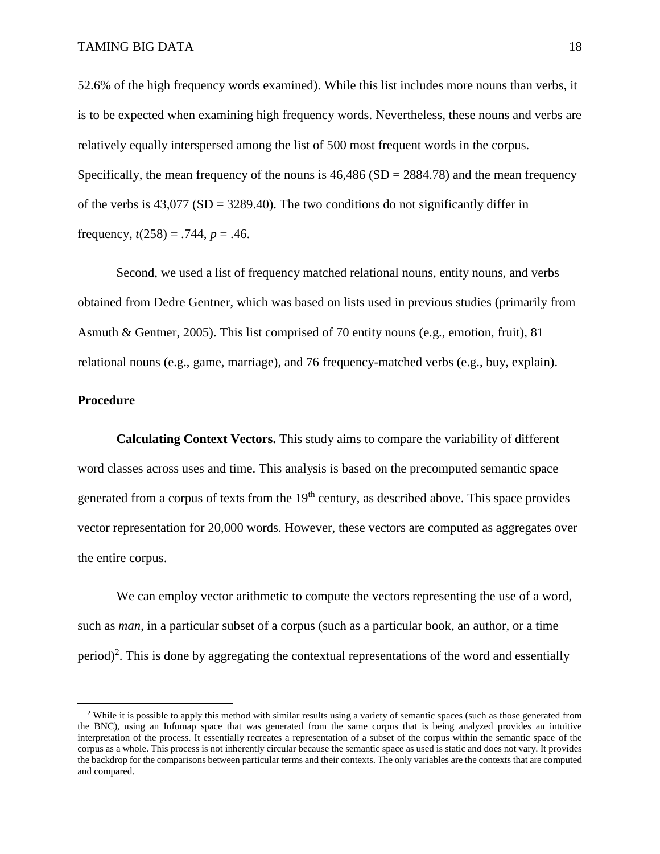52.6% of the high frequency words examined). While this list includes more nouns than verbs, it is to be expected when examining high frequency words. Nevertheless, these nouns and verbs are relatively equally interspersed among the list of 500 most frequent words in the corpus. Specifically, the mean frequency of the nouns is  $46,486$  (SD = 2884.78) and the mean frequency of the verbs is  $43,077$  (SD =  $3289.40$ ). The two conditions do not significantly differ in frequency,  $t(258) = .744$ ,  $p = .46$ .

Second, we used a list of frequency matched relational nouns, entity nouns, and verbs obtained from Dedre Gentner, which was based on lists used in previous studies (primarily from Asmuth & Gentner, 2005). This list comprised of 70 entity nouns (e.g., emotion, fruit), 81 relational nouns (e.g., game, marriage), and 76 frequency-matched verbs (e.g., buy, explain).

### **Procedure**

 $\overline{a}$ 

**Calculating Context Vectors.** This study aims to compare the variability of different word classes across uses and time. This analysis is based on the precomputed semantic space generated from a corpus of texts from the 19<sup>th</sup> century, as described above. This space provides vector representation for 20,000 words. However, these vectors are computed as aggregates over the entire corpus.

We can employ vector arithmetic to compute the vectors representing the use of a word, such as *man*, in a particular subset of a corpus (such as a particular book, an author, or a time period)<sup>2</sup>. This is done by aggregating the contextual representations of the word and essentially

<sup>&</sup>lt;sup>2</sup> While it is possible to apply this method with similar results using a variety of semantic spaces (such as those generated from the BNC), using an Infomap space that was generated from the same corpus that is being analyzed provides an intuitive interpretation of the process. It essentially recreates a representation of a subset of the corpus within the semantic space of the corpus as a whole. This process is not inherently circular because the semantic space as used is static and does not vary. It provides the backdrop for the comparisons between particular terms and their contexts. The only variables are the contexts that are computed and compared.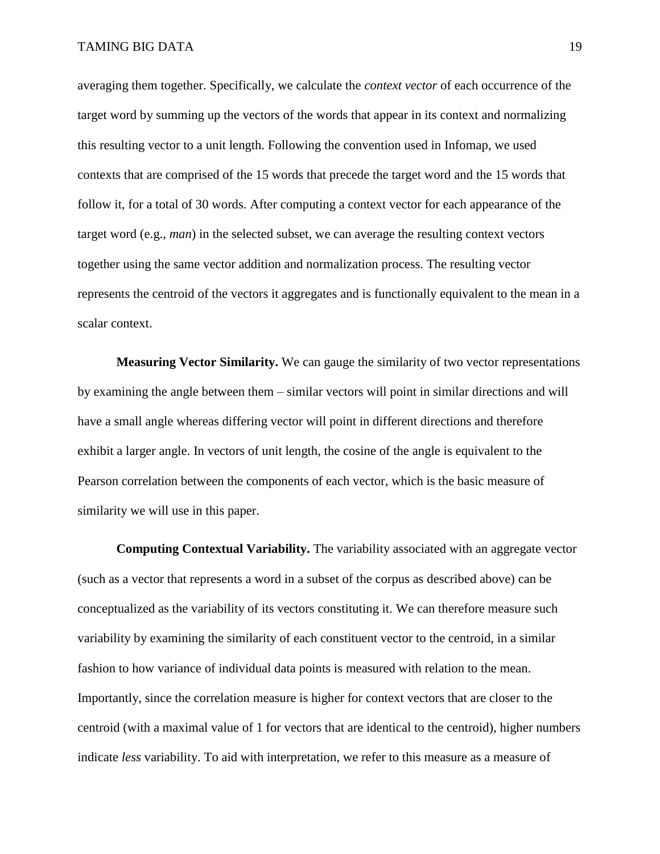averaging them together. Specifically, we calculate the *context vector* of each occurrence of the target word by summing up the vectors of the words that appear in its context and normalizing this resulting vector to a unit length. Following the convention used in Infomap, we used contexts that are comprised of the 15 words that precede the target word and the 15 words that follow it, for a total of 30 words. After computing a context vector for each appearance of the target word (e.g., *man*) in the selected subset, we can average the resulting context vectors together using the same vector addition and normalization process. The resulting vector represents the centroid of the vectors it aggregates and is functionally equivalent to the mean in a scalar context.

**Measuring Vector Similarity.** We can gauge the similarity of two vector representations by examining the angle between them – similar vectors will point in similar directions and will have a small angle whereas differing vector will point in different directions and therefore exhibit a larger angle. In vectors of unit length, the cosine of the angle is equivalent to the Pearson correlation between the components of each vector, which is the basic measure of similarity we will use in this paper.

**Computing Contextual Variability.** The variability associated with an aggregate vector (such as a vector that represents a word in a subset of the corpus as described above) can be conceptualized as the variability of its vectors constituting it. We can therefore measure such variability by examining the similarity of each constituent vector to the centroid, in a similar fashion to how variance of individual data points is measured with relation to the mean. Importantly, since the correlation measure is higher for context vectors that are closer to the centroid (with a maximal value of 1 for vectors that are identical to the centroid), higher numbers indicate *less* variability. To aid with interpretation, we refer to this measure as a measure of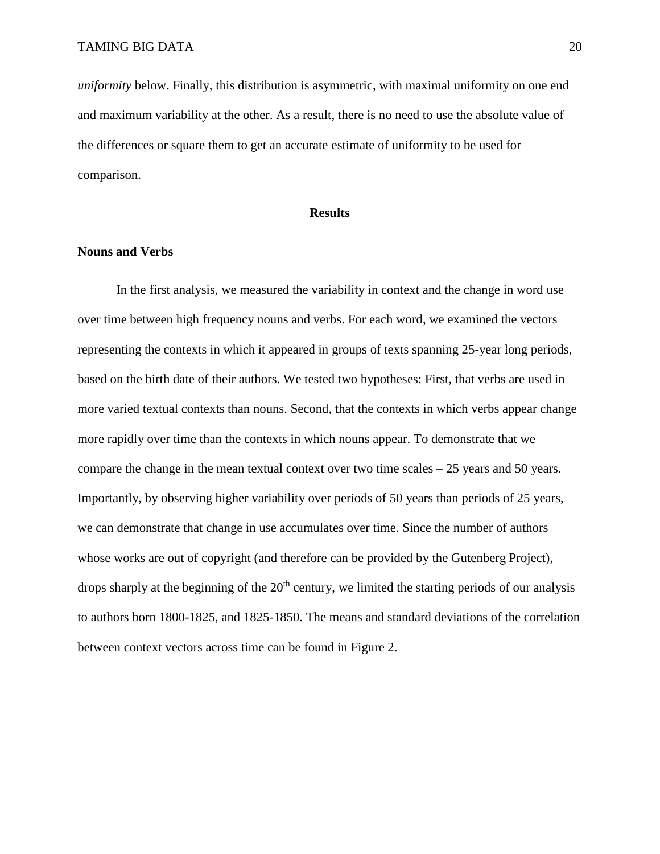*uniformity* below. Finally, this distribution is asymmetric, with maximal uniformity on one end and maximum variability at the other. As a result, there is no need to use the absolute value of the differences or square them to get an accurate estimate of uniformity to be used for comparison.

### **Results**

#### **Nouns and Verbs**

In the first analysis, we measured the variability in context and the change in word use over time between high frequency nouns and verbs. For each word, we examined the vectors representing the contexts in which it appeared in groups of texts spanning 25-year long periods, based on the birth date of their authors. We tested two hypotheses: First, that verbs are used in more varied textual contexts than nouns. Second, that the contexts in which verbs appear change more rapidly over time than the contexts in which nouns appear. To demonstrate that we compare the change in the mean textual context over two time scales – 25 years and 50 years. Importantly, by observing higher variability over periods of 50 years than periods of 25 years, we can demonstrate that change in use accumulates over time. Since the number of authors whose works are out of copyright (and therefore can be provided by the Gutenberg Project), drops sharply at the beginning of the  $20<sup>th</sup>$  century, we limited the starting periods of our analysis to authors born 1800-1825, and 1825-1850. The means and standard deviations of the correlation between context vectors across time can be found in [Figure 2.](#page-20-0)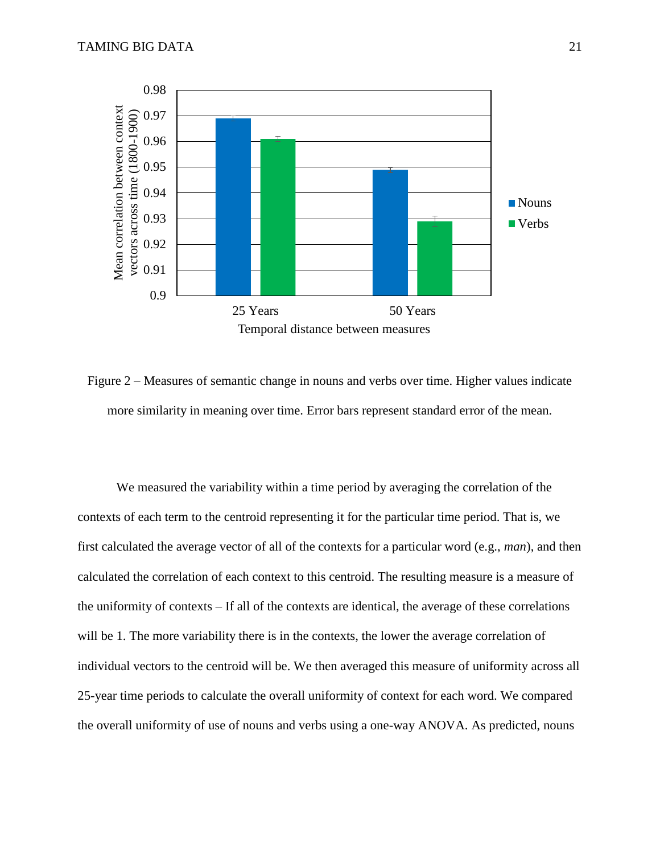

<span id="page-20-0"></span>Figure 2 – Measures of semantic change in nouns and verbs over time. Higher values indicate more similarity in meaning over time. Error bars represent standard error of the mean.

We measured the variability within a time period by averaging the correlation of the contexts of each term to the centroid representing it for the particular time period. That is, we first calculated the average vector of all of the contexts for a particular word (e.g., *man*), and then calculated the correlation of each context to this centroid. The resulting measure is a measure of the uniformity of contexts – If all of the contexts are identical, the average of these correlations will be 1. The more variability there is in the contexts, the lower the average correlation of individual vectors to the centroid will be. We then averaged this measure of uniformity across all 25-year time periods to calculate the overall uniformity of context for each word. We compared the overall uniformity of use of nouns and verbs using a one-way ANOVA. As predicted, nouns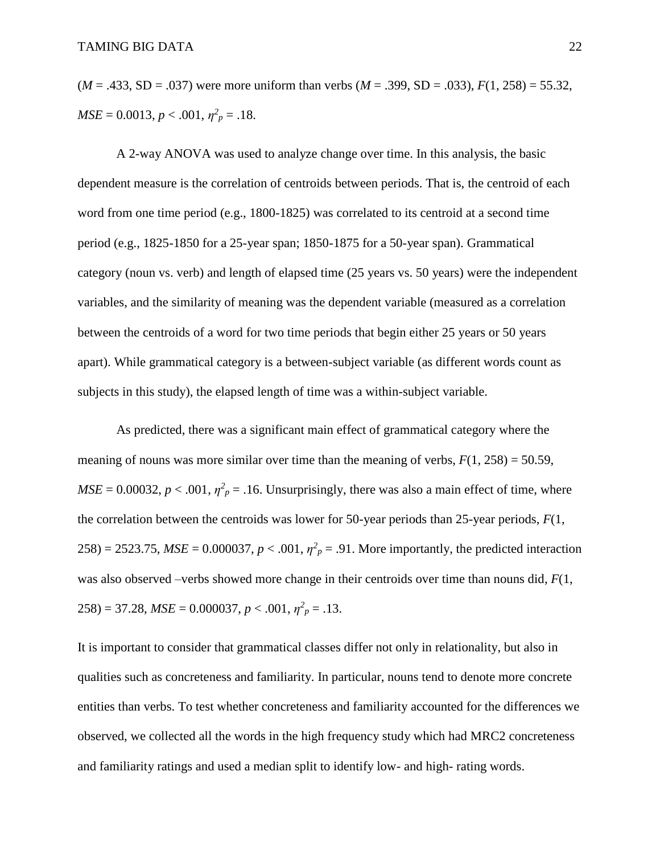(*M* = .433, SD = .037) were more uniform than verbs (*M* = .399, SD = .033), *F*(1, 258) = 55.32,  $MSE = 0.0013, p < .001, \eta^2_p = .18.$ 

A 2-way ANOVA was used to analyze change over time. In this analysis, the basic dependent measure is the correlation of centroids between periods. That is, the centroid of each word from one time period (e.g., 1800-1825) was correlated to its centroid at a second time period (e.g., 1825-1850 for a 25-year span; 1850-1875 for a 50-year span). Grammatical category (noun vs. verb) and length of elapsed time (25 years vs. 50 years) were the independent variables, and the similarity of meaning was the dependent variable (measured as a correlation between the centroids of a word for two time periods that begin either 25 years or 50 years apart). While grammatical category is a between-subject variable (as different words count as subjects in this study), the elapsed length of time was a within-subject variable.

As predicted, there was a significant main effect of grammatical category where the meaning of nouns was more similar over time than the meaning of verbs,  $F(1, 258) = 50.59$ ,  $MSE = 0.00032$ ,  $p < .001$ ,  $\eta^2_p = .16$ . Unsurprisingly, there was also a main effect of time, where the correlation between the centroids was lower for 50-year periods than 25-year periods, *F*(1, 258) = 2523.75,  $MSE = 0.000037$ ,  $p < .001$ ,  $\eta^2 p = .91$ . More importantly, the predicted interaction was also observed –verbs showed more change in their centroids over time than nouns did, *F*(1,  $258$ ) = 37.28,  $MSE = 0.000037$ ,  $p < .001$ ,  $\eta^2_p = .13$ .

It is important to consider that grammatical classes differ not only in relationality, but also in qualities such as concreteness and familiarity. In particular, nouns tend to denote more concrete entities than verbs. To test whether concreteness and familiarity accounted for the differences we observed, we collected all the words in the high frequency study which had MRC2 concreteness and familiarity ratings and used a median split to identify low- and high- rating words.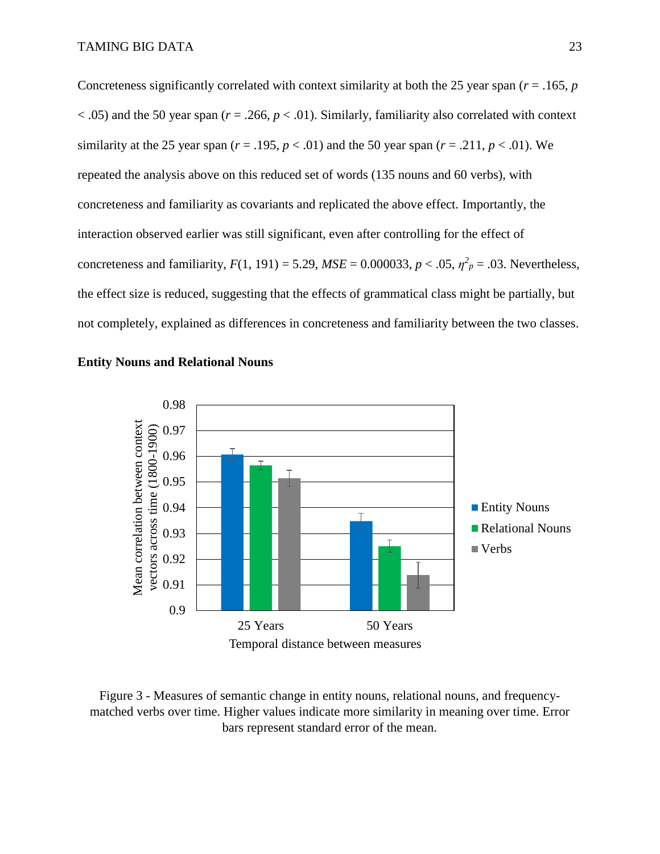Concreteness significantly correlated with context similarity at both the 25 year span (*r* = .165, *p*  $<$ .05) and the 50 year span ( $r = .266$ ,  $p < .01$ ). Similarly, familiarity also correlated with context similarity at the 25 year span ( $r = .195$ ,  $p < .01$ ) and the 50 year span ( $r = .211$ ,  $p < .01$ ). We repeated the analysis above on this reduced set of words (135 nouns and 60 verbs), with concreteness and familiarity as covariants and replicated the above effect. Importantly, the interaction observed earlier was still significant, even after controlling for the effect of concreteness and familiarity,  $F(1, 191) = 5.29$ ,  $MSE = 0.000033$ ,  $p < .05$ ,  $\eta^2_p = .03$ . Nevertheless, the effect size is reduced, suggesting that the effects of grammatical class might be partially, but not completely, explained as differences in concreteness and familiarity between the two classes.





Figure 3 - Measures of semantic change in entity nouns, relational nouns, and frequencymatched verbs over time. Higher values indicate more similarity in meaning over time. Error bars represent standard error of the mean.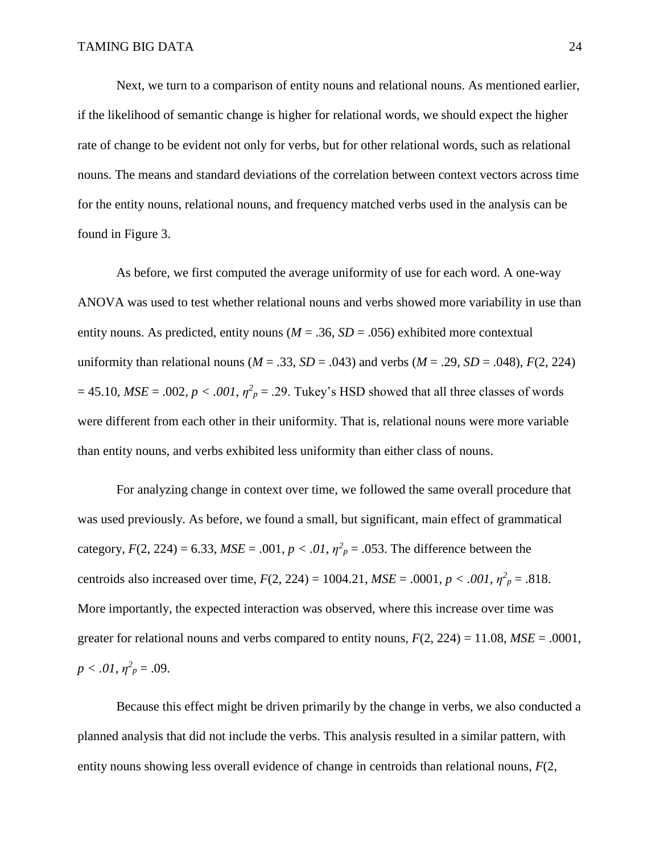Next, we turn to a comparison of entity nouns and relational nouns. As mentioned earlier, if the likelihood of semantic change is higher for relational words, we should expect the higher rate of change to be evident not only for verbs, but for other relational words, such as relational nouns. The means and standard deviations of the correlation between context vectors across time for the entity nouns, relational nouns, and frequency matched verbs used in the analysis can be found in Figure 3.

As before, we first computed the average uniformity of use for each word. A one-way ANOVA was used to test whether relational nouns and verbs showed more variability in use than entity nouns. As predicted, entity nouns ( $M = .36$ ,  $SD = .056$ ) exhibited more contextual uniformity than relational nouns ( $M = .33$ ,  $SD = .043$ ) and verbs ( $M = .29$ ,  $SD = .048$ ),  $F(2, 224)$  $= 45.10$ ,  $MSE = .002$ ,  $p < .001$ ,  $\eta^2_p = .29$ . Tukey's HSD showed that all three classes of words were different from each other in their uniformity. That is, relational nouns were more variable than entity nouns, and verbs exhibited less uniformity than either class of nouns.

For analyzing change in context over time, we followed the same overall procedure that was used previously. As before, we found a small, but significant, main effect of grammatical category,  $F(2, 224) = 6.33$ ,  $MSE = .001$ ,  $p < .01$ ,  $\eta^2 p = .053$ . The difference between the centroids also increased over time,  $F(2, 224) = 1004.21$ ,  $MSE = .0001$ ,  $p < .001$ ,  $\eta^2_p = .818$ . More importantly, the expected interaction was observed, where this increase over time was greater for relational nouns and verbs compared to entity nouns,  $F(2, 224) = 11.08$ ,  $MSE = .0001$ ,  $p < .01, \eta^2_p = .09$ .

Because this effect might be driven primarily by the change in verbs, we also conducted a planned analysis that did not include the verbs. This analysis resulted in a similar pattern, with entity nouns showing less overall evidence of change in centroids than relational nouns, *F*(2,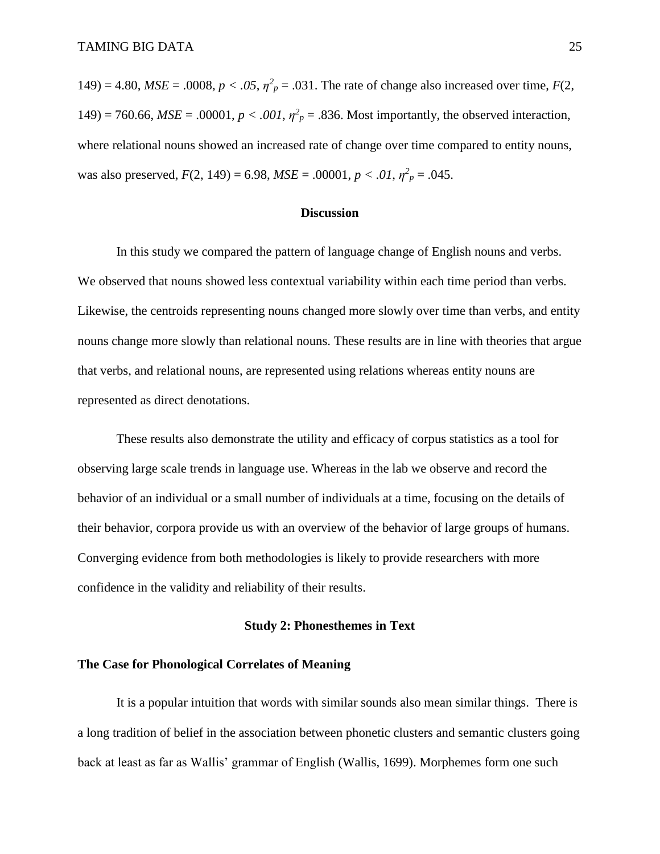149) = 4.80, *MSE* = .0008,  $p < .05$ ,  $\eta^2 p = .031$ . The rate of change also increased over time,  $F(2, 0)$ 149) = 760.66,  $MSE = .00001$ ,  $p < .001$ ,  $\eta^2$ <sub>p</sub> = .836. Most importantly, the observed interaction, where relational nouns showed an increased rate of change over time compared to entity nouns, was also preserved,  $F(2, 149) = 6.98$ ,  $MSE = .00001$ ,  $p < .01$ ,  $\eta^2 p = .045$ .

### **Discussion**

In this study we compared the pattern of language change of English nouns and verbs. We observed that nouns showed less contextual variability within each time period than verbs. Likewise, the centroids representing nouns changed more slowly over time than verbs, and entity nouns change more slowly than relational nouns. These results are in line with theories that argue that verbs, and relational nouns, are represented using relations whereas entity nouns are represented as direct denotations.

These results also demonstrate the utility and efficacy of corpus statistics as a tool for observing large scale trends in language use. Whereas in the lab we observe and record the behavior of an individual or a small number of individuals at a time, focusing on the details of their behavior, corpora provide us with an overview of the behavior of large groups of humans. Converging evidence from both methodologies is likely to provide researchers with more confidence in the validity and reliability of their results.

### **Study 2: Phonesthemes in Text**

### **The Case for Phonological Correlates of Meaning**

It is a popular intuition that words with similar sounds also mean similar things. There is a long tradition of belief in the association between phonetic clusters and semantic clusters going back at least as far as Wallis' grammar of English (Wallis, 1699). Morphemes form one such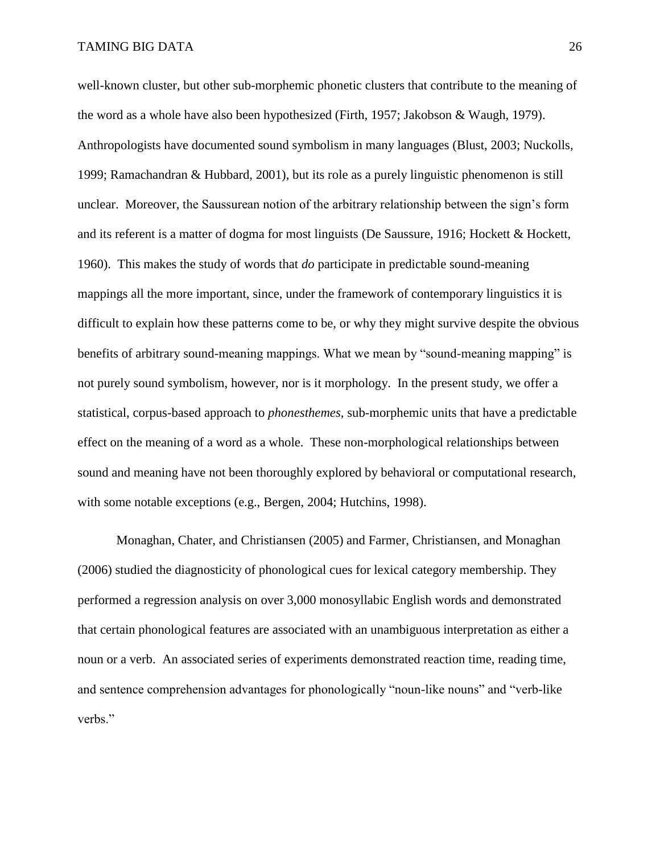well-known cluster, but other sub-morphemic phonetic clusters that contribute to the meaning of the word as a whole have also been hypothesized (Firth, 1957; Jakobson & Waugh, 1979). Anthropologists have documented sound symbolism in many languages (Blust, 2003; Nuckolls, 1999; Ramachandran & Hubbard, 2001), but its role as a purely linguistic phenomenon is still unclear. Moreover, the Saussurean notion of the arbitrary relationship between the sign's form and its referent is a matter of dogma for most linguists (De Saussure, 1916; Hockett & Hockett, 1960). This makes the study of words that *do* participate in predictable sound-meaning mappings all the more important, since, under the framework of contemporary linguistics it is difficult to explain how these patterns come to be, or why they might survive despite the obvious benefits of arbitrary sound-meaning mappings. What we mean by "sound-meaning mapping" is not purely sound symbolism, however, nor is it morphology. In the present study, we offer a statistical, corpus-based approach to *phonesthemes*, sub-morphemic units that have a predictable effect on the meaning of a word as a whole. These non-morphological relationships between sound and meaning have not been thoroughly explored by behavioral or computational research, with some notable exceptions (e.g., Bergen, 2004; Hutchins, 1998).

Monaghan, Chater, and Christiansen (2005) and Farmer, Christiansen, and Monaghan (2006) studied the diagnosticity of phonological cues for lexical category membership. They performed a regression analysis on over 3,000 monosyllabic English words and demonstrated that certain phonological features are associated with an unambiguous interpretation as either a noun or a verb. An associated series of experiments demonstrated reaction time, reading time, and sentence comprehension advantages for phonologically "noun-like nouns" and "verb-like verbs."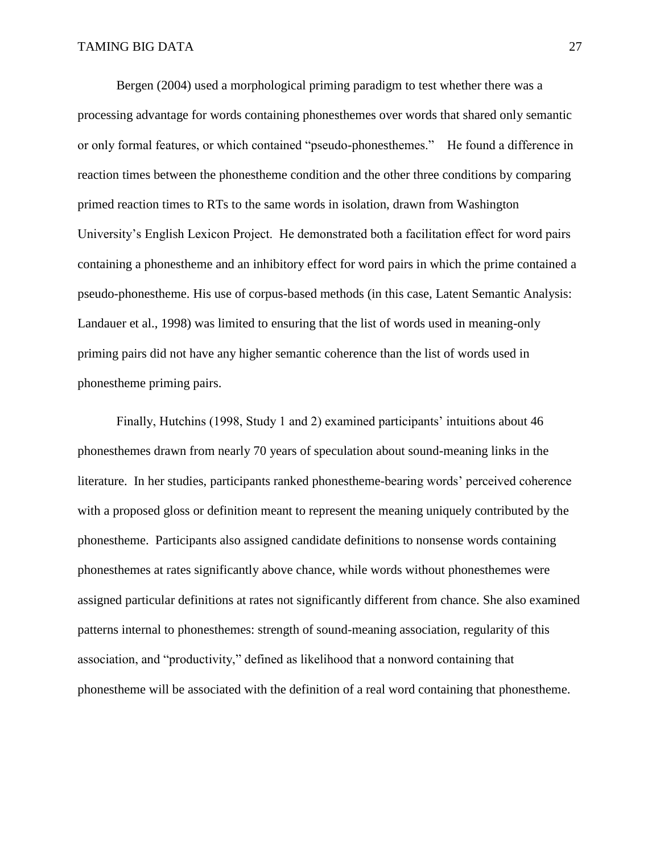Bergen (2004) used a morphological priming paradigm to test whether there was a processing advantage for words containing phonesthemes over words that shared only semantic or only formal features, or which contained "pseudo-phonesthemes." He found a difference in reaction times between the phonestheme condition and the other three conditions by comparing primed reaction times to RTs to the same words in isolation, drawn from Washington University's English Lexicon Project. He demonstrated both a facilitation effect for word pairs containing a phonestheme and an inhibitory effect for word pairs in which the prime contained a pseudo-phonestheme. His use of corpus-based methods (in this case, Latent Semantic Analysis: Landauer et al., 1998) was limited to ensuring that the list of words used in meaning-only priming pairs did not have any higher semantic coherence than the list of words used in phonestheme priming pairs.

Finally, Hutchins (1998, Study 1 and 2) examined participants' intuitions about 46 phonesthemes drawn from nearly 70 years of speculation about sound-meaning links in the literature. In her studies, participants ranked phonestheme-bearing words' perceived coherence with a proposed gloss or definition meant to represent the meaning uniquely contributed by the phonestheme. Participants also assigned candidate definitions to nonsense words containing phonesthemes at rates significantly above chance, while words without phonesthemes were assigned particular definitions at rates not significantly different from chance. She also examined patterns internal to phonesthemes: strength of sound-meaning association, regularity of this association, and "productivity," defined as likelihood that a nonword containing that phonestheme will be associated with the definition of a real word containing that phonestheme.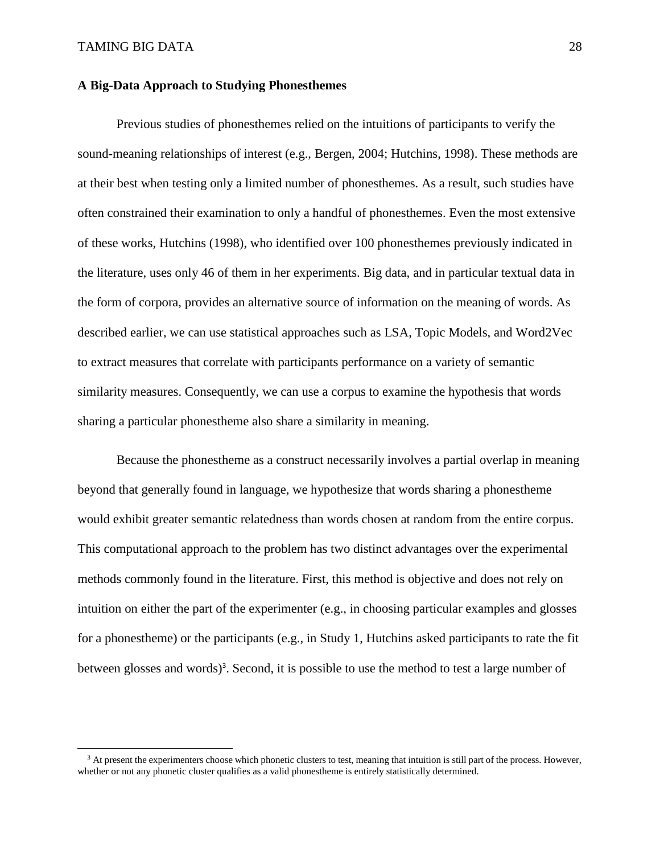$\overline{\phantom{a}}$ 

#### **A Big-Data Approach to Studying Phonesthemes**

Previous studies of phonesthemes relied on the intuitions of participants to verify the sound-meaning relationships of interest (e.g., Bergen, 2004; Hutchins, 1998). These methods are at their best when testing only a limited number of phonesthemes. As a result, such studies have often constrained their examination to only a handful of phonesthemes. Even the most extensive of these works, Hutchins (1998), who identified over 100 phonesthemes previously indicated in the literature, uses only 46 of them in her experiments. Big data, and in particular textual data in the form of corpora, provides an alternative source of information on the meaning of words. As described earlier, we can use statistical approaches such as LSA, Topic Models, and Word2Vec to extract measures that correlate with participants performance on a variety of semantic similarity measures. Consequently, we can use a corpus to examine the hypothesis that words sharing a particular phonestheme also share a similarity in meaning.

Because the phonestheme as a construct necessarily involves a partial overlap in meaning beyond that generally found in language, we hypothesize that words sharing a phonestheme would exhibit greater semantic relatedness than words chosen at random from the entire corpus. This computational approach to the problem has two distinct advantages over the experimental methods commonly found in the literature. First, this method is objective and does not rely on intuition on either the part of the experimenter (e.g., in choosing particular examples and glosses for a phonestheme) or the participants (e.g., in Study 1, Hutchins asked participants to rate the fit between glosses and words)<sup>3</sup>. Second, it is possible to use the method to test a large number of

 $3$  At present the experimenters choose which phonetic clusters to test, meaning that intuition is still part of the process. However, whether or not any phonetic cluster qualifies as a valid phonestheme is entirely statistically determined.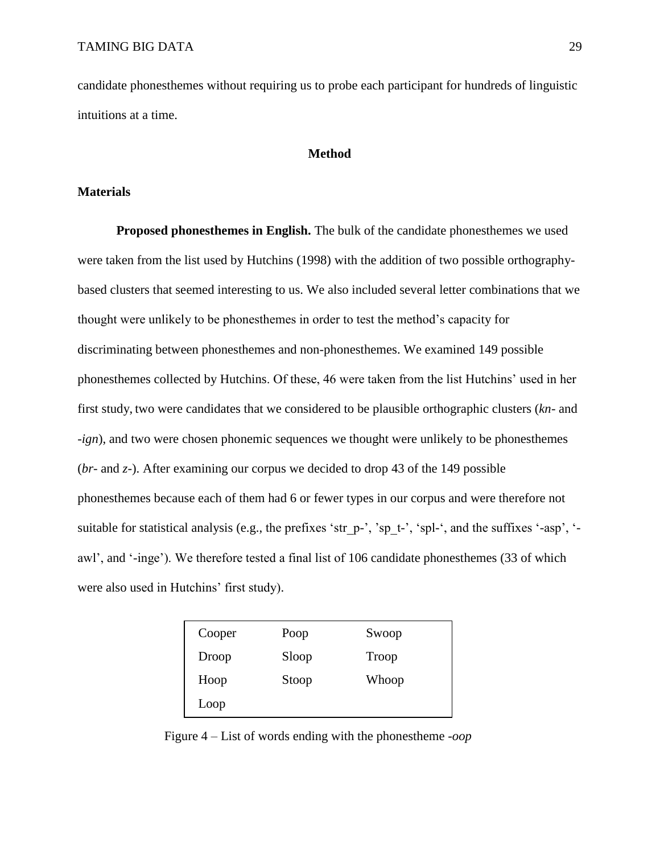candidate phonesthemes without requiring us to probe each participant for hundreds of linguistic intuitions at a time.

### **Method**

### **Materials**

**Proposed phonesthemes in English.** The bulk of the candidate phonesthemes we used were taken from the list used by Hutchins (1998) with the addition of two possible orthographybased clusters that seemed interesting to us. We also included several letter combinations that we thought were unlikely to be phonesthemes in order to test the method's capacity for discriminating between phonesthemes and non-phonesthemes. We examined 149 possible phonesthemes collected by Hutchins. Of these, 46 were taken from the list Hutchins' used in her first study, two were candidates that we considered to be plausible orthographic clusters (*kn-* and *-ign*), and two were chosen phonemic sequences we thought were unlikely to be phonesthemes (*br-* and *z-*). After examining our corpus we decided to drop 43 of the 149 possible phonesthemes because each of them had 6 or fewer types in our corpus and were therefore not suitable for statistical analysis (e.g., the prefixes 'str\_p-', 'sp\_t-', 'spl-', and the suffixes '-asp', ' awl', and '-inge'). We therefore tested a final list of 106 candidate phonesthemes (33 of which were also used in Hutchins' first study).

| Cooper | Poop  | Swoop |
|--------|-------|-------|
| Droop  | Sloop | Troop |
| Hoop   | Stoop | Whoop |
| Loop   |       |       |

<span id="page-28-0"></span>Figure 4 – List of words ending with the phonestheme *-oop*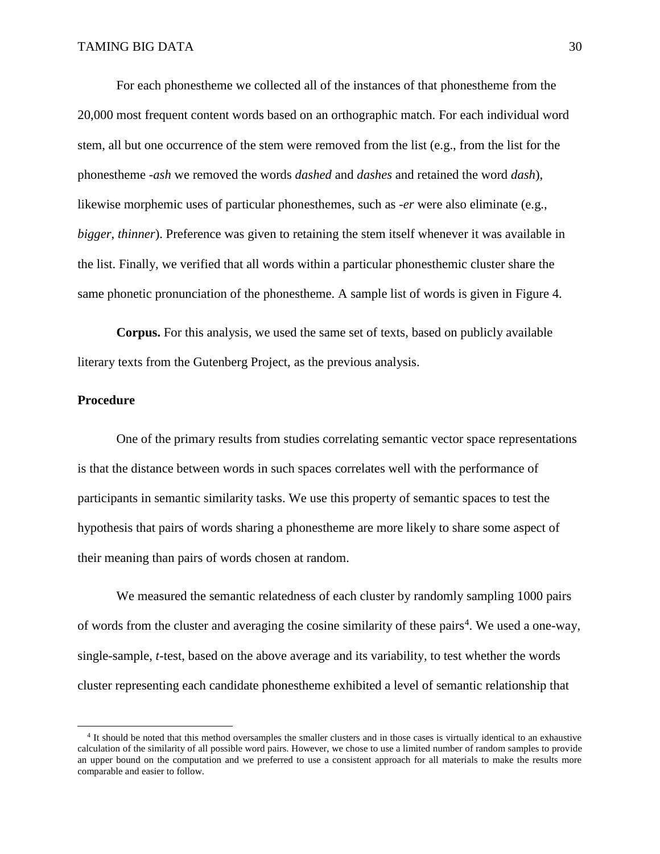For each phonestheme we collected all of the instances of that phonestheme from the 20,000 most frequent content words based on an orthographic match. For each individual word stem, all but one occurrence of the stem were removed from the list (e.g., from the list for the phonestheme *-ash* we removed the words *dashed* and *dashes* and retained the word *dash*), likewise morphemic uses of particular phonesthemes, such as *-er* were also eliminate (e.g., *bigger*, *thinner*). Preference was given to retaining the stem itself whenever it was available in the list. Finally, we verified that all words within a particular phonesthemic cluster share the same phonetic pronunciation of the phonestheme. A sample list of words is given in [Figure 4.](#page-28-0)

**Corpus.** For this analysis, we used the same set of texts, based on publicly available literary texts from the Gutenberg Project, as the previous analysis.

### **Procedure**

 $\overline{a}$ 

One of the primary results from studies correlating semantic vector space representations is that the distance between words in such spaces correlates well with the performance of participants in semantic similarity tasks. We use this property of semantic spaces to test the hypothesis that pairs of words sharing a phonestheme are more likely to share some aspect of their meaning than pairs of words chosen at random.

We measured the semantic relatedness of each cluster by randomly sampling 1000 pairs of words from the cluster and averaging the cosine similarity of these pairs<sup>4</sup>. We used a one-way, single-sample, *t-*test, based on the above average and its variability, to test whether the words cluster representing each candidate phonestheme exhibited a level of semantic relationship that

<sup>4</sup> It should be noted that this method oversamples the smaller clusters and in those cases is virtually identical to an exhaustive calculation of the similarity of all possible word pairs. However, we chose to use a limited number of random samples to provide an upper bound on the computation and we preferred to use a consistent approach for all materials to make the results more comparable and easier to follow.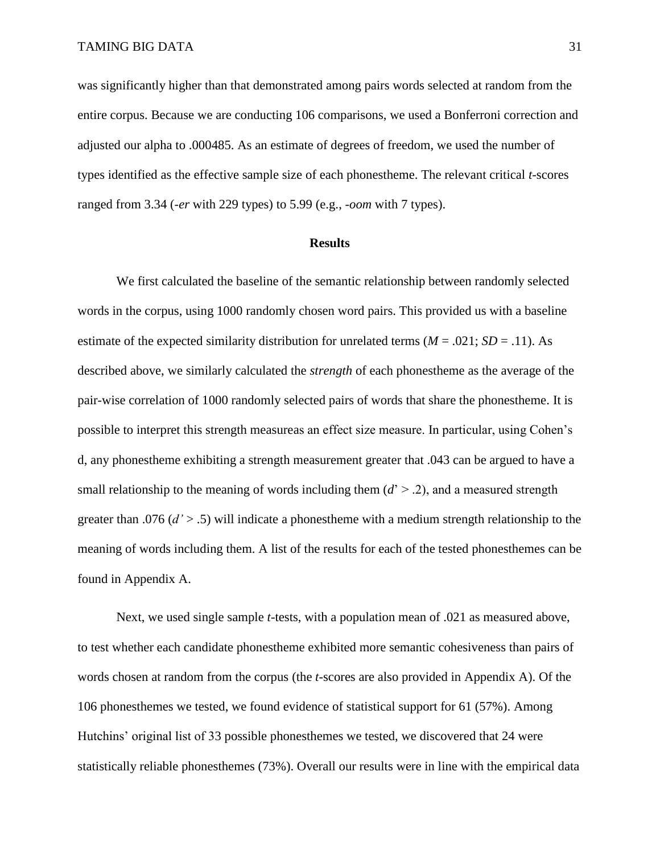was significantly higher than that demonstrated among pairs words selected at random from the entire corpus. Because we are conducting 106 comparisons, we used a Bonferroni correction and adjusted our alpha to .000485. As an estimate of degrees of freedom, we used the number of types identified as the effective sample size of each phonestheme. The relevant critical *t*-scores ranged from 3.34 (*-er* with 229 types) to 5.99 (e.g., *-oom* with 7 types).

### **Results**

We first calculated the baseline of the semantic relationship between randomly selected words in the corpus, using 1000 randomly chosen word pairs. This provided us with a baseline estimate of the expected similarity distribution for unrelated terms  $(M = .021; SD = .11)$ . As described above, we similarly calculated the *strength* of each phonestheme as the average of the pair-wise correlation of 1000 randomly selected pairs of words that share the phonestheme. It is possible to interpret this strength measureas an effect size measure. In particular, using Cohen's d, any phonestheme exhibiting a strength measurement greater that .043 can be argued to have a small relationship to the meaning of words including them  $(d' > .2)$ , and a measured strength greater than .076 (*d'* > .5) will indicate a phonestheme with a medium strength relationship to the meaning of words including them. A list of the results for each of the tested phonesthemes can be found in Appendix A.

Next, we used single sample *t*-tests, with a population mean of .021 as measured above, to test whether each candidate phonestheme exhibited more semantic cohesiveness than pairs of words chosen at random from the corpus (the *t*-scores are also provided in Appendix A). Of the 106 phonesthemes we tested, we found evidence of statistical support for 61 (57%). Among Hutchins' original list of 33 possible phonesthemes we tested, we discovered that 24 were statistically reliable phonesthemes (73%). Overall our results were in line with the empirical data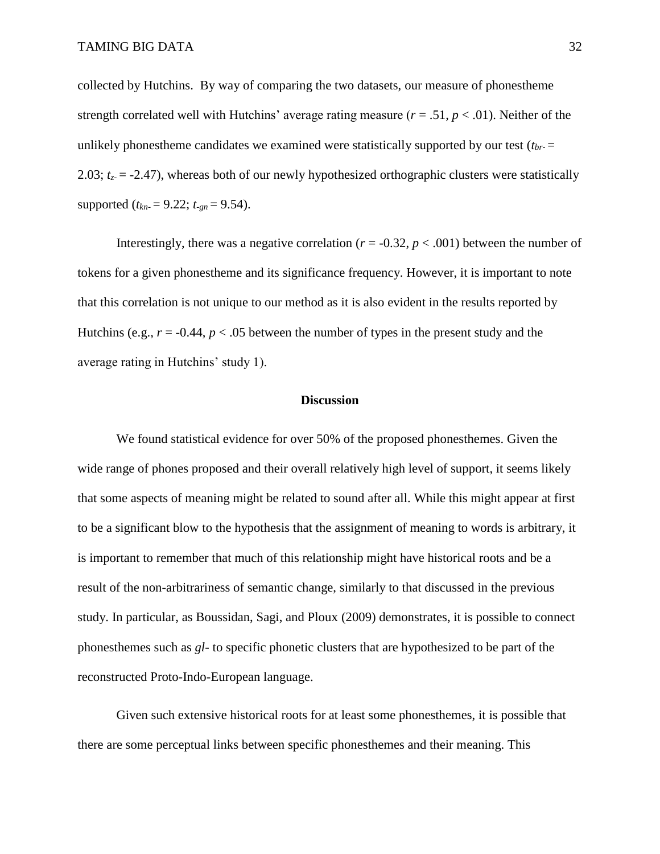collected by Hutchins. By way of comparing the two datasets, our measure of phonestheme strength correlated well with Hutchins' average rating measure  $(r = .51, p < .01)$ . Neither of the unlikely phonestheme candidates we examined were statistically supported by our test (*tbr-* = 2.03;  $t_z = -2.47$ ), whereas both of our newly hypothesized orthographic clusters were statistically supported  $(t_{kn} = 9.22; t_{qn} = 9.54)$ .

Interestingly, there was a negative correlation ( $r = -0.32$ ,  $p < .001$ ) between the number of tokens for a given phonestheme and its significance frequency. However, it is important to note that this correlation is not unique to our method as it is also evident in the results reported by Hutchins (e.g.,  $r = -0.44$ ,  $p < .05$  between the number of types in the present study and the average rating in Hutchins' study 1).

### **Discussion**

We found statistical evidence for over 50% of the proposed phonesthemes. Given the wide range of phones proposed and their overall relatively high level of support, it seems likely that some aspects of meaning might be related to sound after all. While this might appear at first to be a significant blow to the hypothesis that the assignment of meaning to words is arbitrary, it is important to remember that much of this relationship might have historical roots and be a result of the non-arbitrariness of semantic change, similarly to that discussed in the previous study. In particular, as Boussidan, Sagi, and Ploux (2009) demonstrates, it is possible to connect phonesthemes such as *gl*- to specific phonetic clusters that are hypothesized to be part of the reconstructed Proto-Indo-European language.

Given such extensive historical roots for at least some phonesthemes, it is possible that there are some perceptual links between specific phonesthemes and their meaning. This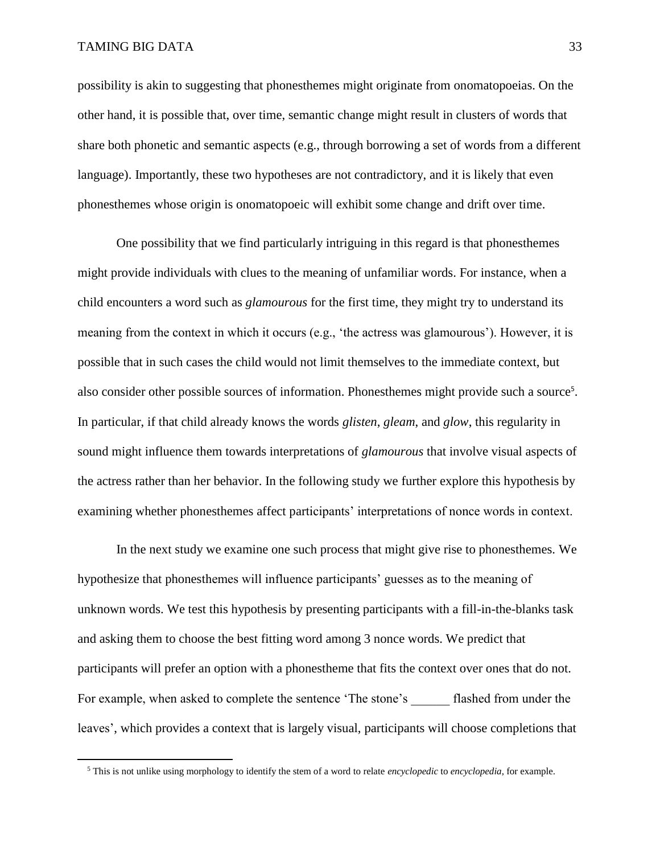$\overline{a}$ 

possibility is akin to suggesting that phonesthemes might originate from onomatopoeias. On the other hand, it is possible that, over time, semantic change might result in clusters of words that share both phonetic and semantic aspects (e.g., through borrowing a set of words from a different language). Importantly, these two hypotheses are not contradictory, and it is likely that even phonesthemes whose origin is onomatopoeic will exhibit some change and drift over time.

One possibility that we find particularly intriguing in this regard is that phonesthemes might provide individuals with clues to the meaning of unfamiliar words. For instance, when a child encounters a word such as *glamourous* for the first time, they might try to understand its meaning from the context in which it occurs (e.g., 'the actress was glamourous'). However, it is possible that in such cases the child would not limit themselves to the immediate context, but also consider other possible sources of information. Phonesthemes might provide such a source<sup>5</sup>. In particular, if that child already knows the words *glisten*, *gleam*, and *glow*, this regularity in sound might influence them towards interpretations of *glamourous* that involve visual aspects of the actress rather than her behavior. In the following study we further explore this hypothesis by examining whether phonesthemes affect participants' interpretations of nonce words in context.

In the next study we examine one such process that might give rise to phonesthemes. We hypothesize that phonesthemes will influence participants' guesses as to the meaning of unknown words. We test this hypothesis by presenting participants with a fill-in-the-blanks task and asking them to choose the best fitting word among 3 nonce words. We predict that participants will prefer an option with a phonestheme that fits the context over ones that do not. For example, when asked to complete the sentence 'The stone's flashed from under the leaves', which provides a context that is largely visual, participants will choose completions that

<sup>5</sup> This is not unlike using morphology to identify the stem of a word to relate *encyclopedic* to *encyclopedia*, for example.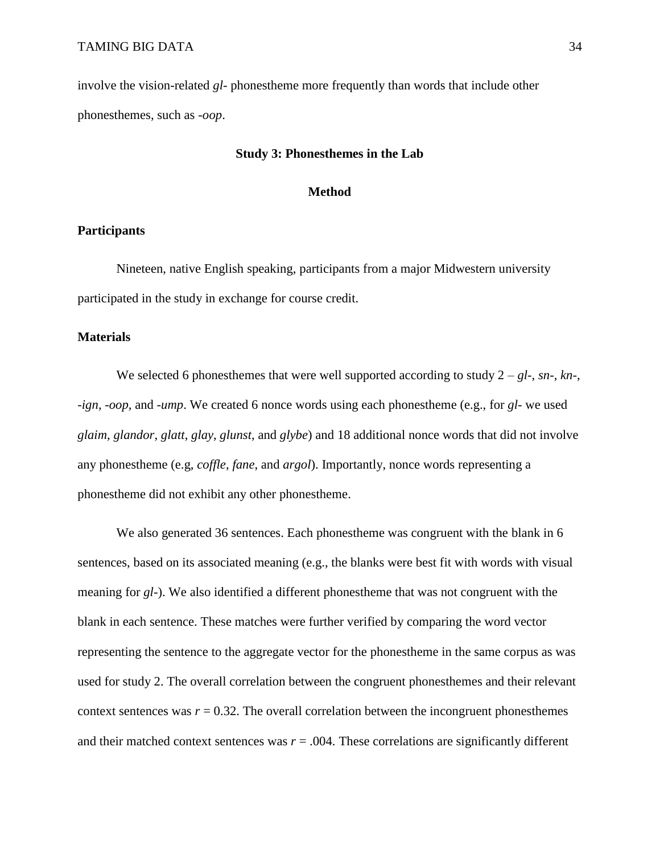involve the vision-related *gl-* phonestheme more frequently than words that include other phonesthemes, such as *-oop*.

#### **Study 3: Phonesthemes in the Lab**

#### **Method**

### **Participants**

Nineteen, native English speaking, participants from a major Midwestern university participated in the study in exchange for course credit.

### **Materials**

We selected 6 phonesthemes that were well supported according to study 2 – *gl-*, *sn-*, *kn-*, *-ign*, *-oop*, and *-ump*. We created 6 nonce words using each phonestheme (e.g., for *gl*- we used *glaim*, *glandor*, *glatt*, *glay*, *glunst*, and *glybe*) and 18 additional nonce words that did not involve any phonestheme (e.g, *coffle*, *fane*, and *argol*). Importantly, nonce words representing a phonestheme did not exhibit any other phonestheme.

We also generated 36 sentences. Each phonestheme was congruent with the blank in 6 sentences, based on its associated meaning (e.g., the blanks were best fit with words with visual meaning for *gl*-). We also identified a different phonestheme that was not congruent with the blank in each sentence. These matches were further verified by comparing the word vector representing the sentence to the aggregate vector for the phonestheme in the same corpus as was used for study 2. The overall correlation between the congruent phonesthemes and their relevant context sentences was  $r = 0.32$ . The overall correlation between the incongruent phonesthemes and their matched context sentences was  $r = .004$ . These correlations are significantly different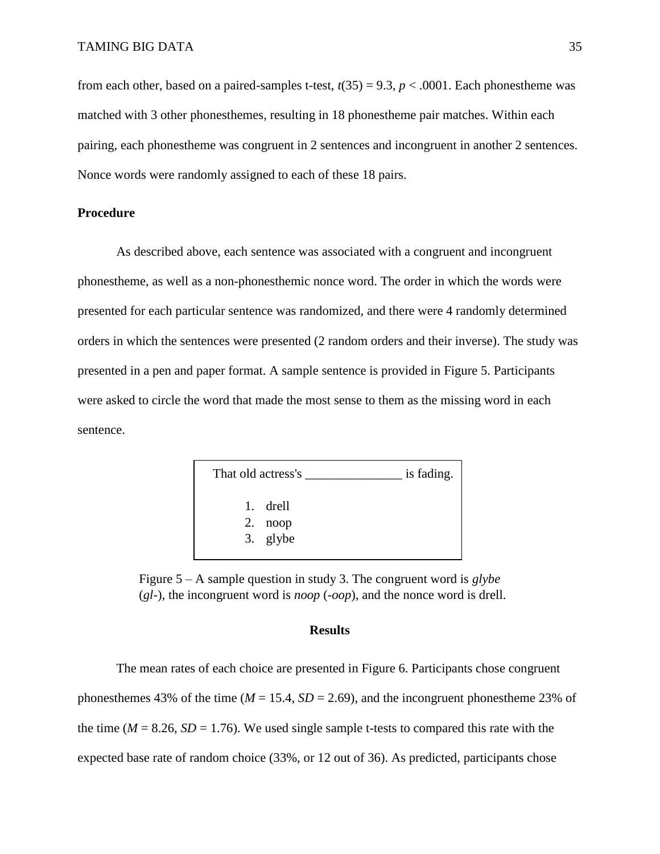from each other, based on a paired-samples t-test,  $t(35) = 9.3$ ,  $p < .0001$ . Each phonestheme was matched with 3 other phonesthemes, resulting in 18 phonestheme pair matches. Within each pairing, each phonestheme was congruent in 2 sentences and incongruent in another 2 sentences. Nonce words were randomly assigned to each of these 18 pairs.

### **Procedure**

As described above, each sentence was associated with a congruent and incongruent phonestheme, as well as a non-phonesthemic nonce word. The order in which the words were presented for each particular sentence was randomized, and there were 4 randomly determined orders in which the sentences were presented (2 random orders and their inverse). The study was presented in a pen and paper format. A sample sentence is provided in [Figure 5.](#page-34-0) Participants were asked to circle the word that made the most sense to them as the missing word in each sentence.



<span id="page-34-0"></span>Figure 5 – A sample question in study 3. The congruent word is *glybe* (*gl-*), the incongruent word is *noop* (*-oop*), and the nonce word is drell.

### **Results**

The mean rates of each choice are presented in [Figure 6.](#page-35-0) Participants chose congruent phonesthemes 43% of the time ( $M = 15.4$ ,  $SD = 2.69$ ), and the incongruent phonestheme 23% of the time ( $M = 8.26$ ,  $SD = 1.76$ ). We used single sample t-tests to compared this rate with the expected base rate of random choice (33%, or 12 out of 36). As predicted, participants chose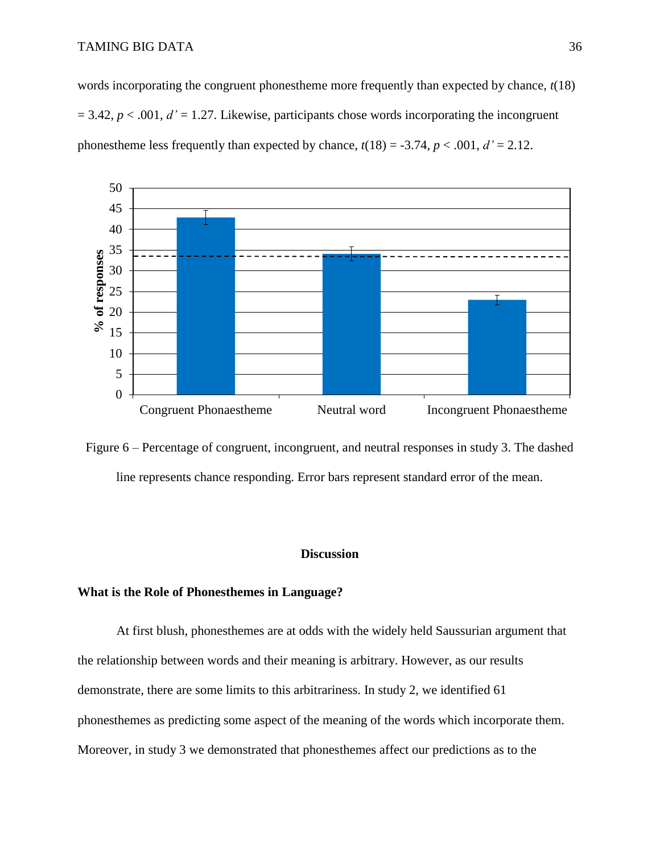words incorporating the congruent phonestheme more frequently than expected by chance, *t*(18)  $= 3.42$ ,  $p < .001$ ,  $d' = 1.27$ . Likewise, participants chose words incorporating the incongruent phones theme less frequently than expected by chance,  $t(18) = -3.74$ ,  $p < .001$ ,  $d' = 2.12$ .



<span id="page-35-0"></span>Figure 6 – Percentage of congruent, incongruent, and neutral responses in study 3. The dashed line represents chance responding. Error bars represent standard error of the mean.

### **Discussion**

### **What is the Role of Phonesthemes in Language?**

At first blush, phonesthemes are at odds with the widely held Saussurian argument that the relationship between words and their meaning is arbitrary. However, as our results demonstrate, there are some limits to this arbitrariness. In study 2, we identified 61 phonesthemes as predicting some aspect of the meaning of the words which incorporate them. Moreover, in study 3 we demonstrated that phonesthemes affect our predictions as to the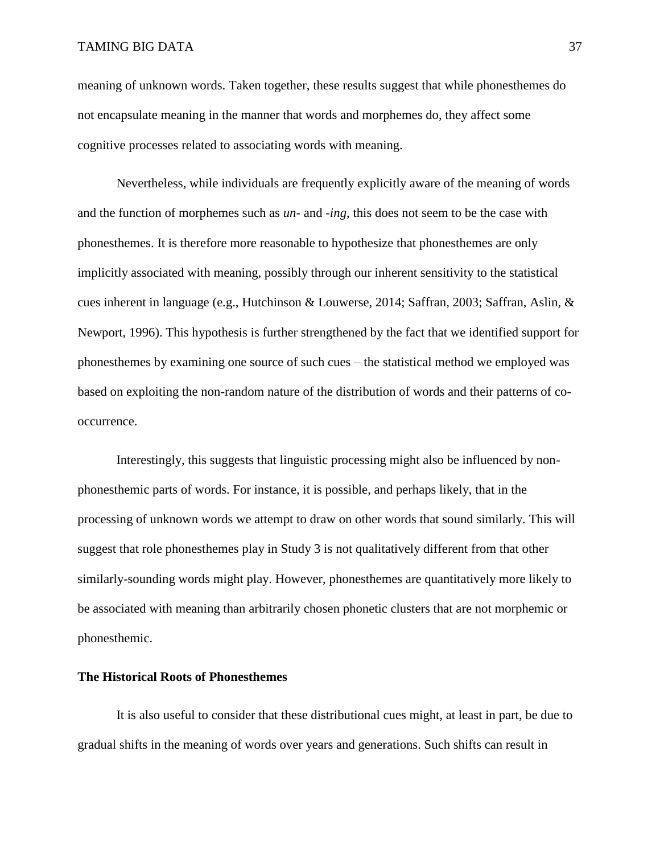meaning of unknown words. Taken together, these results suggest that while phonesthemes do not encapsulate meaning in the manner that words and morphemes do, they affect some cognitive processes related to associating words with meaning.

Nevertheless, while individuals are frequently explicitly aware of the meaning of words and the function of morphemes such as *un-* and *-ing*, this does not seem to be the case with phonesthemes. It is therefore more reasonable to hypothesize that phonesthemes are only implicitly associated with meaning, possibly through our inherent sensitivity to the statistical cues inherent in language (e.g., Hutchinson & Louwerse, 2014; Saffran, 2003; Saffran, Aslin, & Newport, 1996). This hypothesis is further strengthened by the fact that we identified support for phonesthemes by examining one source of such cues – the statistical method we employed was based on exploiting the non-random nature of the distribution of words and their patterns of cooccurrence.

Interestingly, this suggests that linguistic processing might also be influenced by nonphonesthemic parts of words. For instance, it is possible, and perhaps likely, that in the processing of unknown words we attempt to draw on other words that sound similarly. This will suggest that role phonesthemes play in Study 3 is not qualitatively different from that other similarly-sounding words might play. However, phonesthemes are quantitatively more likely to be associated with meaning than arbitrarily chosen phonetic clusters that are not morphemic or phonesthemic.

### **The Historical Roots of Phonesthemes**

It is also useful to consider that these distributional cues might, at least in part, be due to gradual shifts in the meaning of words over years and generations. Such shifts can result in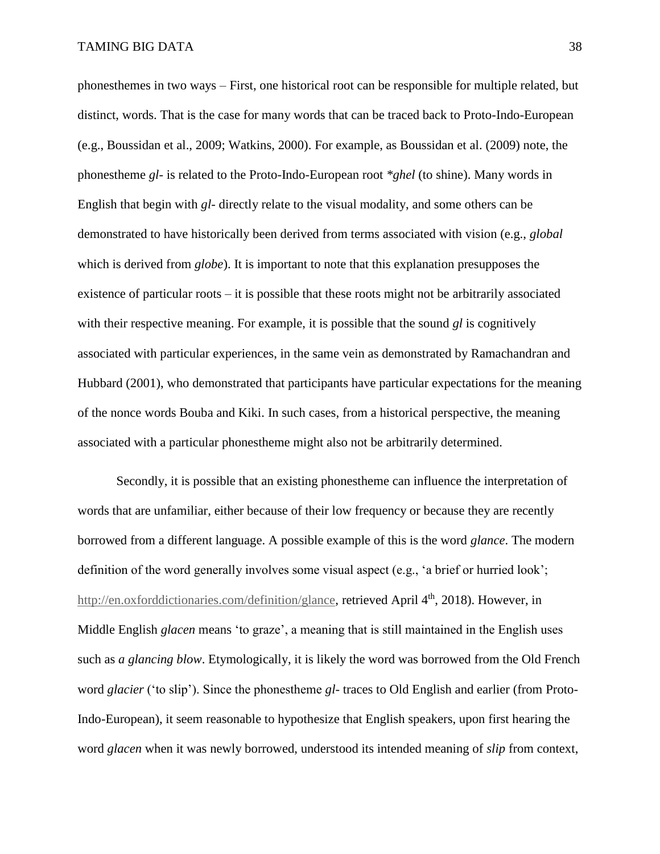phonesthemes in two ways – First, one historical root can be responsible for multiple related, but distinct, words. That is the case for many words that can be traced back to Proto-Indo-European (e.g., Boussidan et al., 2009; Watkins, 2000). For example, as Boussidan et al. (2009) note, the phonestheme *gl-* is related to the Proto-Indo-European root *\*ghel* (to shine). Many words in English that begin with *gl-* directly relate to the visual modality, and some others can be demonstrated to have historically been derived from terms associated with vision (e.g., *global* which is derived from *globe*). It is important to note that this explanation presupposes the existence of particular roots – it is possible that these roots might not be arbitrarily associated with their respective meaning. For example, it is possible that the sound *gl* is cognitively associated with particular experiences, in the same vein as demonstrated by Ramachandran and Hubbard (2001), who demonstrated that participants have particular expectations for the meaning of the nonce words Bouba and Kiki. In such cases, from a historical perspective, the meaning associated with a particular phonestheme might also not be arbitrarily determined.

Secondly, it is possible that an existing phonestheme can influence the interpretation of words that are unfamiliar, either because of their low frequency or because they are recently borrowed from a different language. A possible example of this is the word *glance*. The modern definition of the word generally involves some visual aspect (e.g., 'a brief or hurried look'; [http://en.oxforddictionaries.com/definition/glance,](http://en.oxforddictionaries.com/definition/glance) retrieved April 4<sup>th</sup>, 2018). However, in Middle English *glacen* means 'to graze', a meaning that is still maintained in the English uses such as *a glancing blow*. Etymologically, it is likely the word was borrowed from the Old French word *glacier* ('to slip'). Since the phonestheme *gl-* traces to Old English and earlier (from Proto-Indo-European), it seem reasonable to hypothesize that English speakers, upon first hearing the word *glacen* when it was newly borrowed, understood its intended meaning of *slip* from context,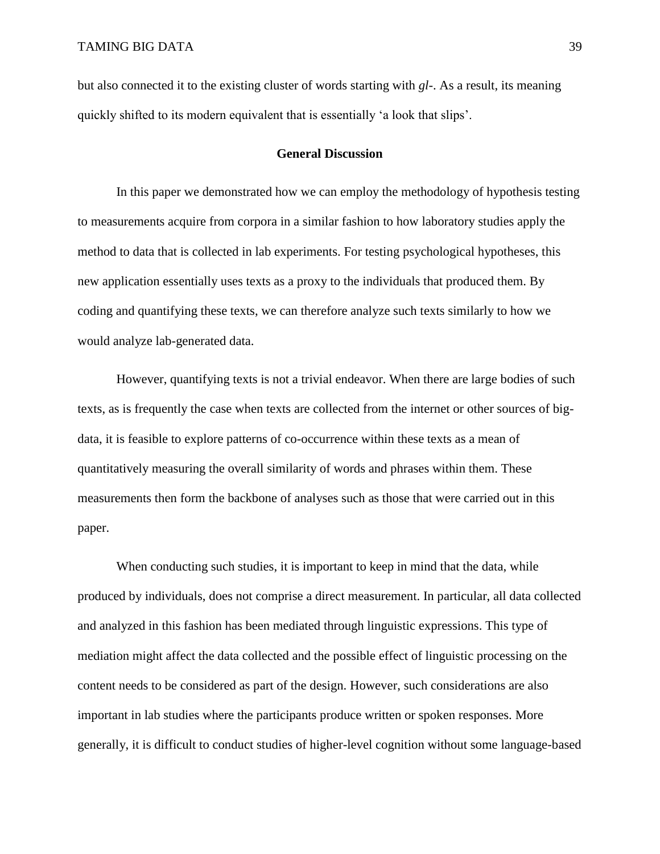but also connected it to the existing cluster of words starting with *gl-*. As a result, its meaning quickly shifted to its modern equivalent that is essentially 'a look that slips'.

#### **General Discussion**

In this paper we demonstrated how we can employ the methodology of hypothesis testing to measurements acquire from corpora in a similar fashion to how laboratory studies apply the method to data that is collected in lab experiments. For testing psychological hypotheses, this new application essentially uses texts as a proxy to the individuals that produced them. By coding and quantifying these texts, we can therefore analyze such texts similarly to how we would analyze lab-generated data.

However, quantifying texts is not a trivial endeavor. When there are large bodies of such texts, as is frequently the case when texts are collected from the internet or other sources of bigdata, it is feasible to explore patterns of co-occurrence within these texts as a mean of quantitatively measuring the overall similarity of words and phrases within them. These measurements then form the backbone of analyses such as those that were carried out in this paper.

When conducting such studies, it is important to keep in mind that the data, while produced by individuals, does not comprise a direct measurement. In particular, all data collected and analyzed in this fashion has been mediated through linguistic expressions. This type of mediation might affect the data collected and the possible effect of linguistic processing on the content needs to be considered as part of the design. However, such considerations are also important in lab studies where the participants produce written or spoken responses. More generally, it is difficult to conduct studies of higher-level cognition without some language-based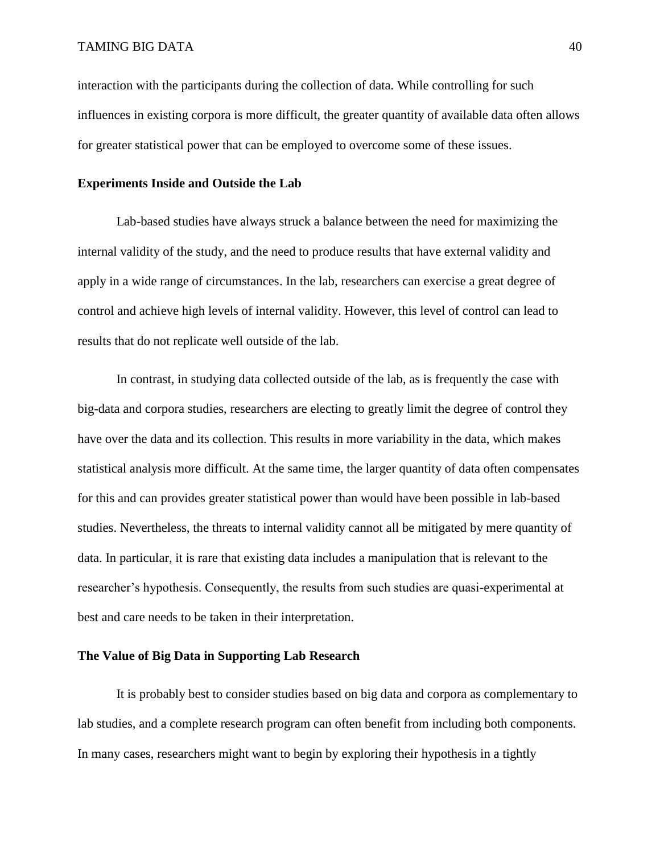interaction with the participants during the collection of data. While controlling for such influences in existing corpora is more difficult, the greater quantity of available data often allows for greater statistical power that can be employed to overcome some of these issues.

### **Experiments Inside and Outside the Lab**

Lab-based studies have always struck a balance between the need for maximizing the internal validity of the study, and the need to produce results that have external validity and apply in a wide range of circumstances. In the lab, researchers can exercise a great degree of control and achieve high levels of internal validity. However, this level of control can lead to results that do not replicate well outside of the lab.

In contrast, in studying data collected outside of the lab, as is frequently the case with big-data and corpora studies, researchers are electing to greatly limit the degree of control they have over the data and its collection. This results in more variability in the data, which makes statistical analysis more difficult. At the same time, the larger quantity of data often compensates for this and can provides greater statistical power than would have been possible in lab-based studies. Nevertheless, the threats to internal validity cannot all be mitigated by mere quantity of data. In particular, it is rare that existing data includes a manipulation that is relevant to the researcher's hypothesis. Consequently, the results from such studies are quasi-experimental at best and care needs to be taken in their interpretation.

### **The Value of Big Data in Supporting Lab Research**

It is probably best to consider studies based on big data and corpora as complementary to lab studies, and a complete research program can often benefit from including both components. In many cases, researchers might want to begin by exploring their hypothesis in a tightly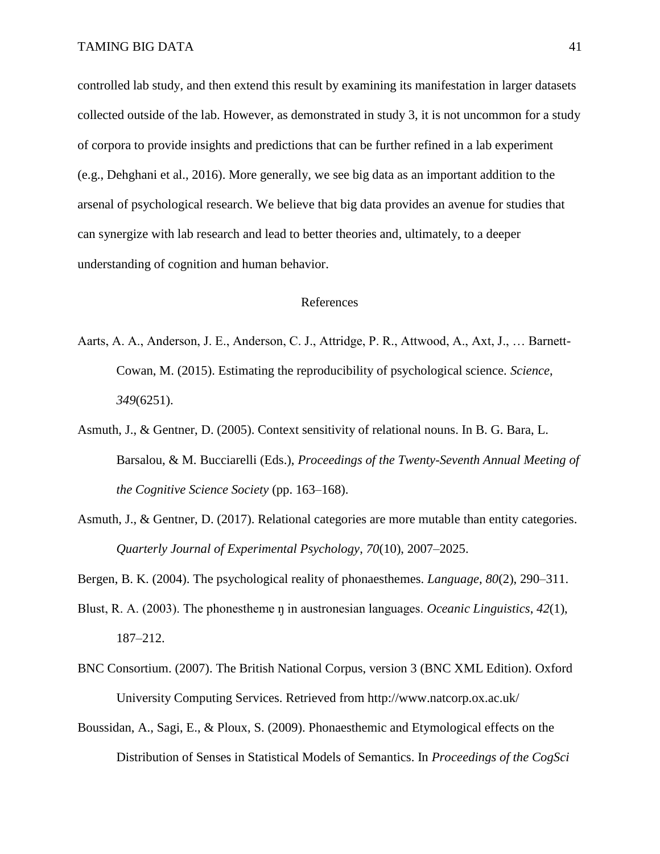controlled lab study, and then extend this result by examining its manifestation in larger datasets collected outside of the lab. However, as demonstrated in study 3, it is not uncommon for a study of corpora to provide insights and predictions that can be further refined in a lab experiment (e.g., Dehghani et al., 2016). More generally, we see big data as an important addition to the arsenal of psychological research. We believe that big data provides an avenue for studies that can synergize with lab research and lead to better theories and, ultimately, to a deeper understanding of cognition and human behavior.

### References

- Aarts, A. A., Anderson, J. E., Anderson, C. J., Attridge, P. R., Attwood, A., Axt, J., … Barnett-Cowan, M. (2015). Estimating the reproducibility of psychological science. *Science*, *349*(6251).
- Asmuth, J., & Gentner, D. (2005). Context sensitivity of relational nouns. In B. G. Bara, L. Barsalou, & M. Bucciarelli (Eds.), *Proceedings of the Twenty-Seventh Annual Meeting of the Cognitive Science Society* (pp. 163–168).
- Asmuth, J., & Gentner, D. (2017). Relational categories are more mutable than entity categories. *Quarterly Journal of Experimental Psychology*, *70*(10), 2007–2025.

Bergen, B. K. (2004). The psychological reality of phonaesthemes. *Language*, *80*(2), 290–311.

- Blust, R. A. (2003). The phonestheme ŋ in austronesian languages. *Oceanic Linguistics*, *42*(1), 187–212.
- BNC Consortium. (2007). The British National Corpus, version 3 (BNC XML Edition). Oxford University Computing Services. Retrieved from http://www.natcorp.ox.ac.uk/
- Boussidan, A., Sagi, E., & Ploux, S. (2009). Phonaesthemic and Etymological effects on the Distribution of Senses in Statistical Models of Semantics. In *Proceedings of the CogSci*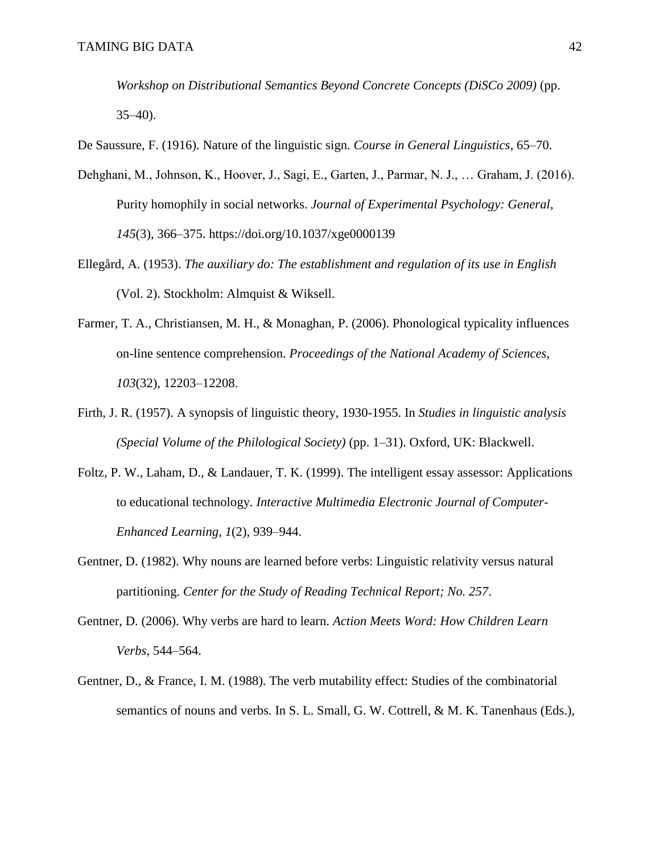*Workshop on Distributional Semantics Beyond Concrete Concepts (DiSCo 2009)* (pp.  $35-40$ ).

De Saussure, F. (1916). Nature of the linguistic sign. *Course in General Linguistics*, 65–70.

- Dehghani, M., Johnson, K., Hoover, J., Sagi, E., Garten, J., Parmar, N. J., … Graham, J. (2016). Purity homophily in social networks. *Journal of Experimental Psychology: General*, *145*(3), 366–375. https://doi.org/10.1037/xge0000139
- Ellegård, A. (1953). *The auxiliary do: The establishment and regulation of its use in English* (Vol. 2). Stockholm: Almquist & Wiksell.
- Farmer, T. A., Christiansen, M. H., & Monaghan, P. (2006). Phonological typicality influences on-line sentence comprehension. *Proceedings of the National Academy of Sciences*, *103*(32), 12203–12208.
- Firth, J. R. (1957). A synopsis of linguistic theory, 1930-1955. In *Studies in linguistic analysis (Special Volume of the Philological Society)* (pp. 1–31). Oxford, UK: Blackwell.
- Foltz, P. W., Laham, D., & Landauer, T. K. (1999). The intelligent essay assessor: Applications to educational technology. *Interactive Multimedia Electronic Journal of Computer-Enhanced Learning*, *1*(2), 939–944.
- Gentner, D. (1982). Why nouns are learned before verbs: Linguistic relativity versus natural partitioning. *Center for the Study of Reading Technical Report; No. 257*.
- Gentner, D. (2006). Why verbs are hard to learn. *Action Meets Word: How Children Learn Verbs*, 544–564.
- Gentner, D., & France, I. M. (1988). The verb mutability effect: Studies of the combinatorial semantics of nouns and verbs. In S. L. Small, G. W. Cottrell, & M. K. Tanenhaus (Eds.),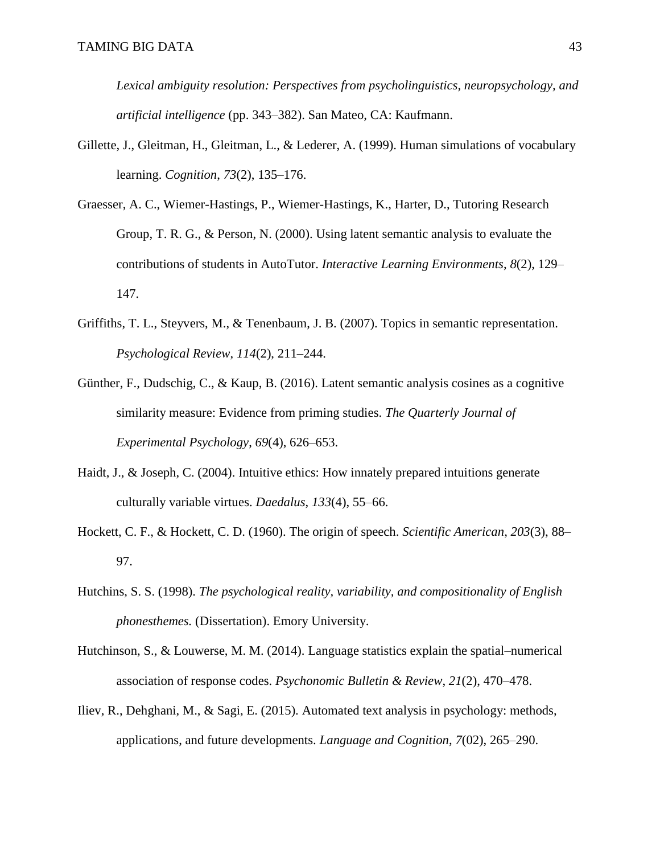*Lexical ambiguity resolution: Perspectives from psycholinguistics, neuropsychology, and artificial intelligence* (pp. 343–382). San Mateo, CA: Kaufmann.

- Gillette, J., Gleitman, H., Gleitman, L., & Lederer, A. (1999). Human simulations of vocabulary learning. *Cognition*, *73*(2), 135–176.
- Graesser, A. C., Wiemer-Hastings, P., Wiemer-Hastings, K., Harter, D., Tutoring Research Group, T. R. G., & Person, N. (2000). Using latent semantic analysis to evaluate the contributions of students in AutoTutor. *Interactive Learning Environments*, *8*(2), 129– 147.
- Griffiths, T. L., Steyvers, M., & Tenenbaum, J. B. (2007). Topics in semantic representation. *Psychological Review*, *114*(2), 211–244.
- Günther, F., Dudschig, C., & Kaup, B. (2016). Latent semantic analysis cosines as a cognitive similarity measure: Evidence from priming studies. *The Quarterly Journal of Experimental Psychology*, *69*(4), 626–653.
- Haidt, J., & Joseph, C. (2004). Intuitive ethics: How innately prepared intuitions generate culturally variable virtues. *Daedalus*, *133*(4), 55–66.
- Hockett, C. F., & Hockett, C. D. (1960). The origin of speech. *Scientific American*, *203*(3), 88– 97.
- Hutchins, S. S. (1998). *The psychological reality, variability, and compositionality of English phonesthemes.* (Dissertation). Emory University.
- Hutchinson, S., & Louwerse, M. M. (2014). Language statistics explain the spatial–numerical association of response codes. *Psychonomic Bulletin & Review*, *21*(2), 470–478.
- Iliev, R., Dehghani, M., & Sagi, E. (2015). Automated text analysis in psychology: methods, applications, and future developments. *Language and Cognition*, *7*(02), 265–290.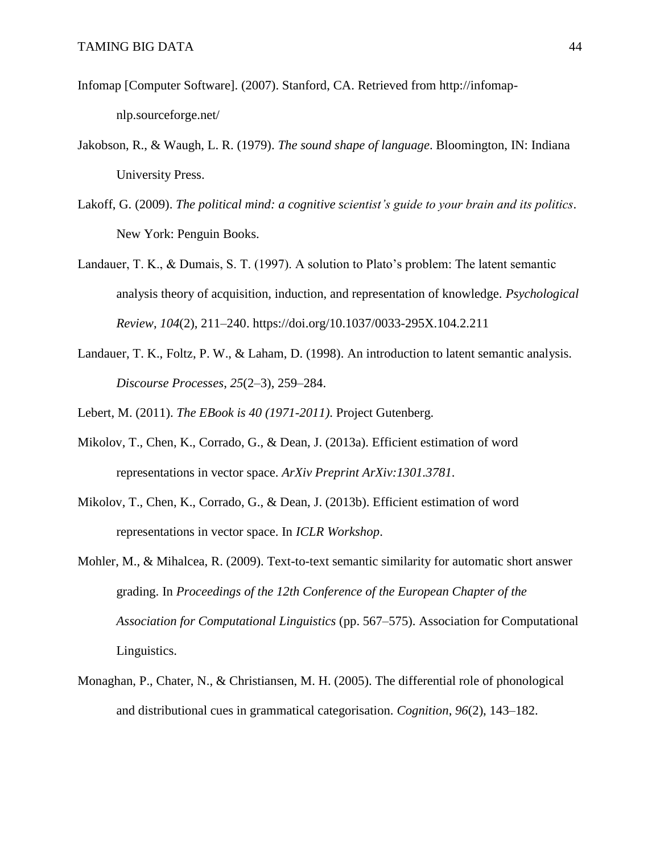- Infomap [Computer Software]. (2007). Stanford, CA. Retrieved from http://infomapnlp.sourceforge.net/
- Jakobson, R., & Waugh, L. R. (1979). *The sound shape of language*. Bloomington, IN: Indiana University Press.
- Lakoff, G. (2009). *The political mind: a cognitive scientist's guide to your brain and its politics*. New York: Penguin Books.
- Landauer, T. K., & Dumais, S. T. (1997). A solution to Plato's problem: The latent semantic analysis theory of acquisition, induction, and representation of knowledge. *Psychological Review*, *104*(2), 211–240. https://doi.org/10.1037/0033-295X.104.2.211
- Landauer, T. K., Foltz, P. W., & Laham, D. (1998). An introduction to latent semantic analysis. *Discourse Processes*, *25*(2–3), 259–284.
- Lebert, M. (2011). *The EBook is 40 (1971-2011)*. Project Gutenberg.
- Mikolov, T., Chen, K., Corrado, G., & Dean, J. (2013a). Efficient estimation of word representations in vector space. *ArXiv Preprint ArXiv:1301.3781*.
- Mikolov, T., Chen, K., Corrado, G., & Dean, J. (2013b). Efficient estimation of word representations in vector space. In *ICLR Workshop*.
- Mohler, M., & Mihalcea, R. (2009). Text-to-text semantic similarity for automatic short answer grading. In *Proceedings of the 12th Conference of the European Chapter of the Association for Computational Linguistics* (pp. 567–575). Association for Computational Linguistics.
- Monaghan, P., Chater, N., & Christiansen, M. H. (2005). The differential role of phonological and distributional cues in grammatical categorisation. *Cognition*, *96*(2), 143–182.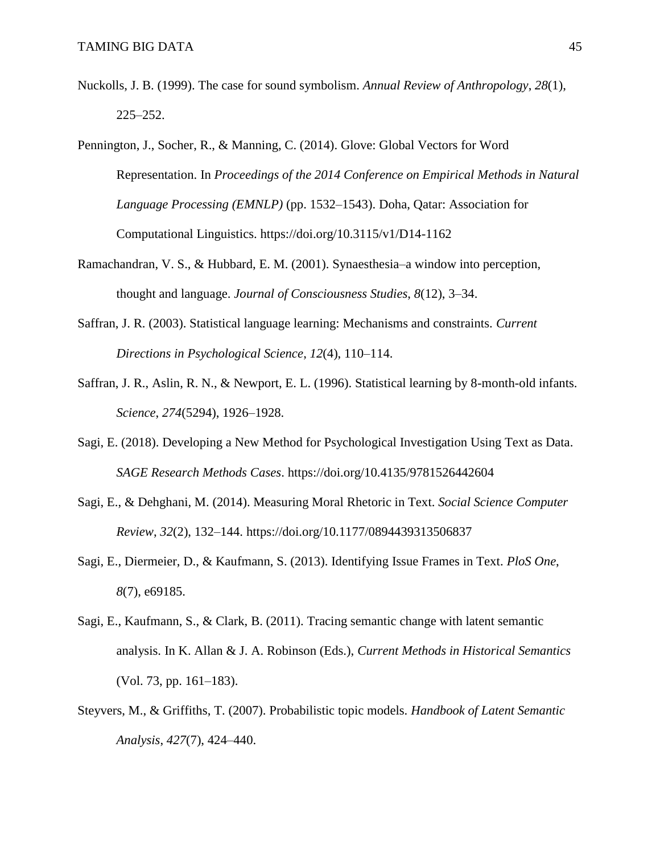- Nuckolls, J. B. (1999). The case for sound symbolism. *Annual Review of Anthropology*, *28*(1), 225–252.
- Pennington, J., Socher, R., & Manning, C. (2014). Glove: Global Vectors for Word Representation. In *Proceedings of the 2014 Conference on Empirical Methods in Natural Language Processing (EMNLP)* (pp. 1532–1543). Doha, Qatar: Association for Computational Linguistics. https://doi.org/10.3115/v1/D14-1162
- Ramachandran, V. S., & Hubbard, E. M. (2001). Synaesthesia–a window into perception, thought and language. *Journal of Consciousness Studies*, *8*(12), 3–34.
- Saffran, J. R. (2003). Statistical language learning: Mechanisms and constraints. *Current Directions in Psychological Science*, *12*(4), 110–114.
- Saffran, J. R., Aslin, R. N., & Newport, E. L. (1996). Statistical learning by 8-month-old infants. *Science*, *274*(5294), 1926–1928.
- Sagi, E. (2018). Developing a New Method for Psychological Investigation Using Text as Data. *SAGE Research Methods Cases*. https://doi.org/10.4135/9781526442604
- Sagi, E., & Dehghani, M. (2014). Measuring Moral Rhetoric in Text. *Social Science Computer Review*, *32*(2), 132–144. https://doi.org/10.1177/0894439313506837
- Sagi, E., Diermeier, D., & Kaufmann, S. (2013). Identifying Issue Frames in Text. *PloS One*, *8*(7), e69185.
- Sagi, E., Kaufmann, S., & Clark, B. (2011). Tracing semantic change with latent semantic analysis. In K. Allan & J. A. Robinson (Eds.), *Current Methods in Historical Semantics* (Vol. 73, pp. 161–183).
- Steyvers, M., & Griffiths, T. (2007). Probabilistic topic models. *Handbook of Latent Semantic Analysis*, *427*(7), 424–440.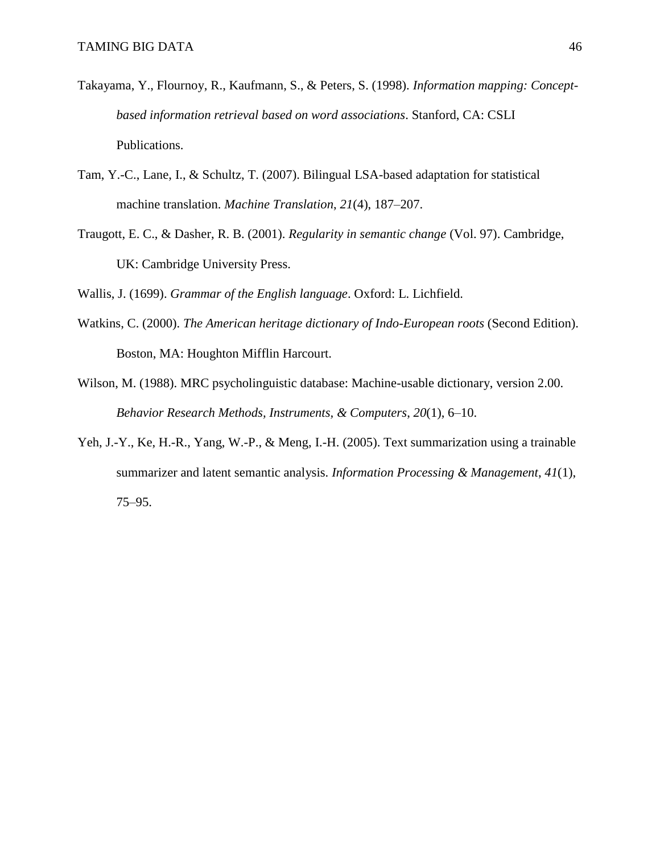- Takayama, Y., Flournoy, R., Kaufmann, S., & Peters, S. (1998). *Information mapping: Conceptbased information retrieval based on word associations*. Stanford, CA: CSLI Publications.
- Tam, Y.-C., Lane, I., & Schultz, T. (2007). Bilingual LSA-based adaptation for statistical machine translation. *Machine Translation*, *21*(4), 187–207.
- Traugott, E. C., & Dasher, R. B. (2001). *Regularity in semantic change* (Vol. 97). Cambridge, UK: Cambridge University Press.

Wallis, J. (1699). *Grammar of the English language*. Oxford: L. Lichfield.

- Watkins, C. (2000). *The American heritage dictionary of Indo-European roots* (Second Edition). Boston, MA: Houghton Mifflin Harcourt.
- Wilson, M. (1988). MRC psycholinguistic database: Machine-usable dictionary, version 2.00. *Behavior Research Methods, Instruments, & Computers*, *20*(1), 6–10.
- Yeh, J.-Y., Ke, H.-R., Yang, W.-P., & Meng, I.-H. (2005). Text summarization using a trainable summarizer and latent semantic analysis. *Information Processing & Management*, *41*(1), 75–95.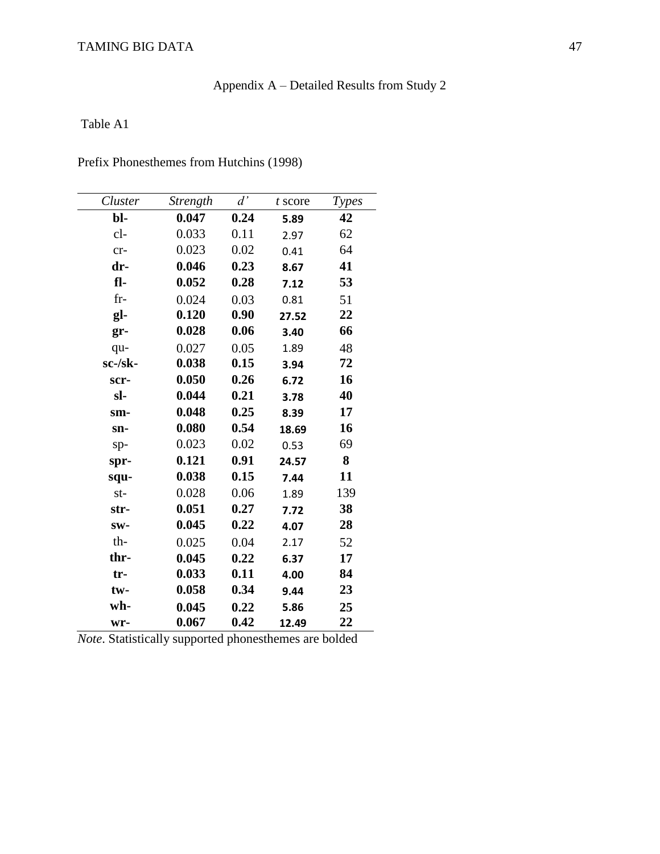# Appendix A – Detailed Results from Study 2

# Table A1

| Cluster | <b>Strength</b> | d'   | t score | <b>Types</b> |
|---------|-----------------|------|---------|--------------|
| bl-     | 0.047           | 0.24 | 5.89    | 42           |
| $cl-$   | 0.033           | 0.11 | 2.97    | 62           |
| $cr-$   | 0.023           | 0.02 | 0.41    | 64           |
| dr-     | 0.046           | 0.23 | 8.67    | 41           |
| fl-     | 0.052           | 0.28 | 7.12    | 53           |
| $fr-$   | 0.024           | 0.03 | 0.81    | 51           |
| gl-     | 0.120           | 0.90 | 27.52   | 22           |
| $gr-$   | 0.028           | 0.06 | 3.40    | 66           |
| qu-     | 0.027           | 0.05 | 1.89    | 48           |
| sc-/sk- | 0.038           | 0.15 | 3.94    | 72           |
| scr-    | 0.050           | 0.26 | 6.72    | 16           |
| sl-     | 0.044           | 0.21 | 3.78    | 40           |
| sm-     | 0.048           | 0.25 | 8.39    | 17           |
| sn-     | 0.080           | 0.54 | 18.69   | 16           |
| $sp-$   | 0.023           | 0.02 | 0.53    | 69           |
| spr-    | 0.121           | 0.91 | 24.57   | 8            |
| squ-    | 0.038           | 0.15 | 7.44    | 11           |
| $st-$   | 0.028           | 0.06 | 1.89    | 139          |
| str-    | 0.051           | 0.27 | 7.72    | 38           |
| SW-     | 0.045           | 0.22 | 4.07    | 28           |
| th-     | 0.025           | 0.04 | 2.17    | 52           |
| thr-    | 0.045           | 0.22 | 6.37    | 17           |
| $tr-$   | 0.033           | 0.11 | 4.00    | 84           |
| tw-     | 0.058           | 0.34 | 9.44    | 23           |
| wh-     | 0.045           | 0.22 | 5.86    | 25           |
| wr-     | 0.067           | 0.42 | 12.49   | 22           |

Prefix Phonesthemes from Hutchins (1998)

*Note*. Statistically supported phonesthemes are bolded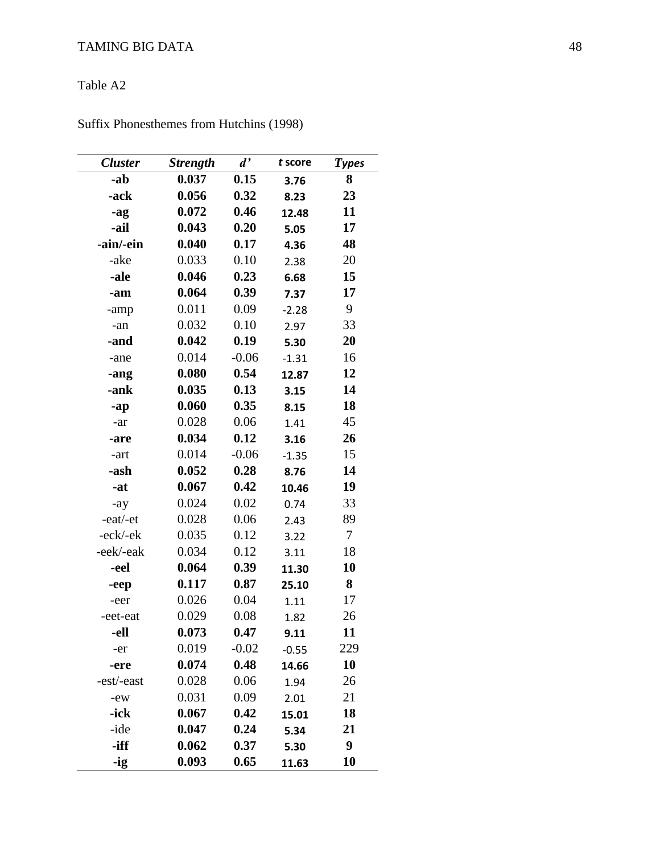### Table A 2

| <b>Cluster</b> | <b>Strength</b> | $d^{\prime}$ | t score | <b>Types</b> |
|----------------|-----------------|--------------|---------|--------------|
| -ab            | 0.037           | 0.15         | 3.76    | 8            |
| -ack           | 0.056           | 0.32         | 8.23    | 23           |
| -ag            | 0.072           | 0.46         | 12.48   | 11           |
| -ail           | 0.043           | 0.20         | 5.05    | 17           |
| -ain/-ein      | 0.040           | 0.17         | 4.36    | 48           |
| -ake           | 0.033           | 0.10         | 2.38    | 20           |
| -ale           | 0.046           | 0.23         | 6.68    | 15           |
| -am            | 0.064           | 0.39         | 7.37    | 17           |
| -amp           | 0.011           | 0.09         | $-2.28$ | 9            |
| -an            | 0.032           | 0.10         | 2.97    | 33           |
| -and           | 0.042           | 0.19         | 5.30    | 20           |
| -ane           | 0.014           | $-0.06$      | $-1.31$ | 16           |
| -ang           | 0.080           | 0.54         | 12.87   | 12           |
| -ank           | 0.035           | 0.13         | 3.15    | 14           |
| -ap            | 0.060           | 0.35         | 8.15    | 18           |
| -ar            | 0.028           | 0.06         | 1.41    | 45           |
| -are           | 0.034           | 0.12         | 3.16    | 26           |
| -art           | 0.014           | $-0.06$      | $-1.35$ | 15           |
| -ash           | 0.052           | 0.28         | 8.76    | 14           |
| -at            | 0.067           | 0.42         | 10.46   | 19           |
| $-ay$          | 0.024           | 0.02         | 0.74    | 33           |
| -eat/-et       | 0.028           | 0.06         | 2.43    | 89           |
| -eck/-ek       | 0.035           | 0.12         | 3.22    | $\tau$       |
| -eek/-eak      | 0.034           | 0.12         | 3.11    | 18           |
| -eel           | 0.064           | 0.39         | 11.30   | 10           |
| -eep           | 0.117           | 0.87         | 25.10   | 8            |
| -eer           | 0.026           | 0.04         | 1.11    | 17           |
| -eet-eat       | 0.029           | 0.08         | 1.82    | 26           |
| -ell           | 0.073           | 0.47         | 9.11    | 11           |
| -er            | 0.019           | $-0.02$      | $-0.55$ | 229          |
| -ere           | 0.074           | 0.48         | 14.66   | 10           |
| -est/-east     | 0.028           | 0.06         | 1.94    | 26           |
| -ew            | 0.031           | 0.09         | 2.01    | 21           |
| -ick           | 0.067           | 0.42         | 15.01   | 18           |
| -ide           | 0.047           | 0.24         | 5.34    | 21           |
| -iff           | 0.062           | 0.37         | 5.30    | 9            |
| -ig            | 0.093           | 0.65         | 11.63   | 10           |

Suffix Phonesthemes from Hutchins (1998)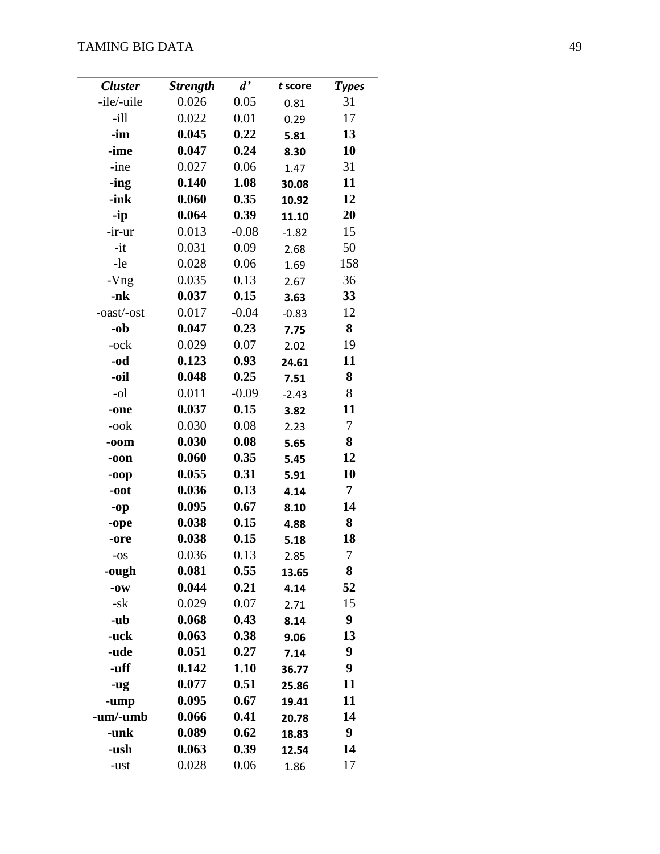| <b>Cluster</b> | <b>Strength</b> | d'      | t score | <b>Types</b> |
|----------------|-----------------|---------|---------|--------------|
| -ile/-uile     | 0.026           | 0.05    | 0.81    | 31           |
| $-i11$         | 0.022           | 0.01    | 0.29    | 17           |
| $\mathbf{-im}$ | 0.045           | 0.22    | 5.81    | 13           |
| -ime           | 0.047           | 0.24    | 8.30    | 10           |
| -ine           | 0.027           | 0.06    | 1.47    | 31           |
| -ing           | 0.140           | 1.08    | 30.08   | 11           |
| -ink           | 0.060           | 0.35    | 10.92   | 12           |
| -ip            | 0.064           | 0.39    | 11.10   | 20           |
| -ir-ur         | 0.013           | $-0.08$ | $-1.82$ | 15           |
| $-it$          | 0.031           | 0.09    | 2.68    | 50           |
| -le            | 0.028           | 0.06    | 1.69    | 158          |
| -Vng           | 0.035           | 0.13    | 2.67    | 36           |
| -nk            | 0.037           | 0.15    | 3.63    | 33           |
| -oast/-ost     | 0.017           | $-0.04$ | $-0.83$ | 12           |
| -ob            | 0.047           | 0.23    | 7.75    | 8            |
| -ock           | 0.029           | 0.07    | 2.02    | 19           |
| -od            | 0.123           | 0.93    | 24.61   | 11           |
| -oil           | 0.048           | 0.25    | 7.51    | 8            |
| -ol            | 0.011           | $-0.09$ | $-2.43$ | 8            |
| -one           | 0.037           | 0.15    | 3.82    | 11           |
| -ook           | 0.030           | 0.08    | 2.23    | 7            |
| $-oom$         | 0.030           | 0.08    | 5.65    | 8            |
| -oon           | 0.060           | 0.35    | 5.45    | 12           |
| -00p           | 0.055           | 0.31    | 5.91    | 10           |
| $-oot$         | 0.036           | 0.13    | 4.14    | 7            |
| -op            | 0.095           | 0.67    | 8.10    | 14           |
| -ope           | 0.038           | 0.15    | 4.88    | 8            |
| -ore           | 0.038           | 0.15    | 5.18    | 18           |
| $-OS$          | 0.036           | 0.13    | 2.85    | $\tau$       |
| -ough          | 0.081           | 0.55    | 13.65   | 8            |
| $-0W$          | 0.044           | 0.21    | 4.14    | 52           |
| -sk            | 0.029           | 0.07    | 2.71    | 15           |
| -ub            | 0.068           | 0.43    | 8.14    | 9            |
| -uck           | 0.063           | 0.38    | 9.06    | 13           |
| -ude           | 0.051           | 0.27    | 7.14    | 9            |
| -uff           | 0.142           | 1.10    | 36.77   | 9            |
| -ug            | 0.077           | 0.51    | 25.86   | 11           |
| -ump           | 0.095           | 0.67    | 19.41   | 11           |
| -um/-umb       | 0.066           | 0.41    | 20.78   | 14           |
| -unk           | 0.089           | 0.62    | 18.83   | 9            |
| -ush           | 0.063           | 0.39    | 12.54   | 14           |
| -ust           | 0.028           | 0.06    | 1.86    | 17           |